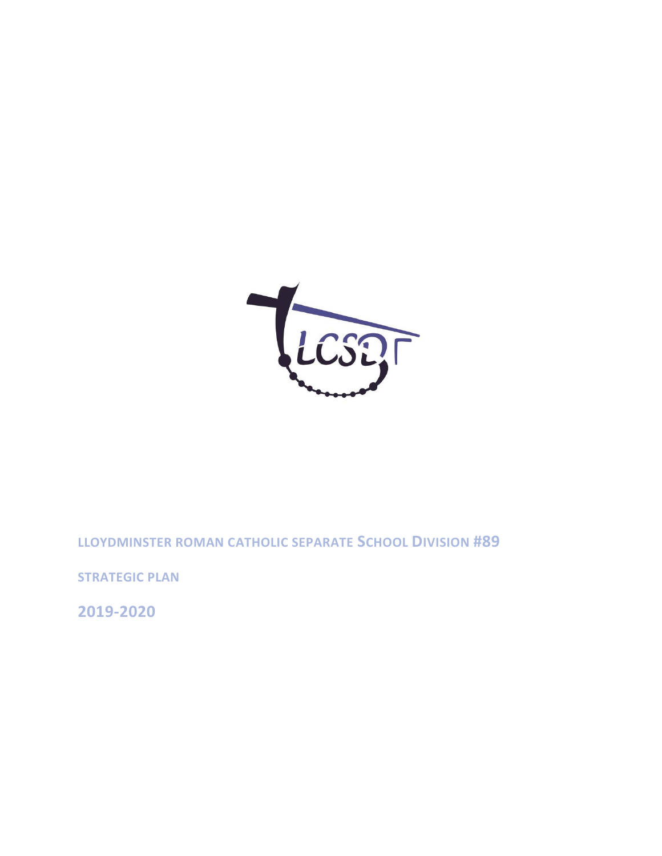

**LLOYDMINSTER ROMAN CATHOLIC SEPARATE SCHOOL DIVISION #89**

**STRATEGIC PLAN**

**2019-2020**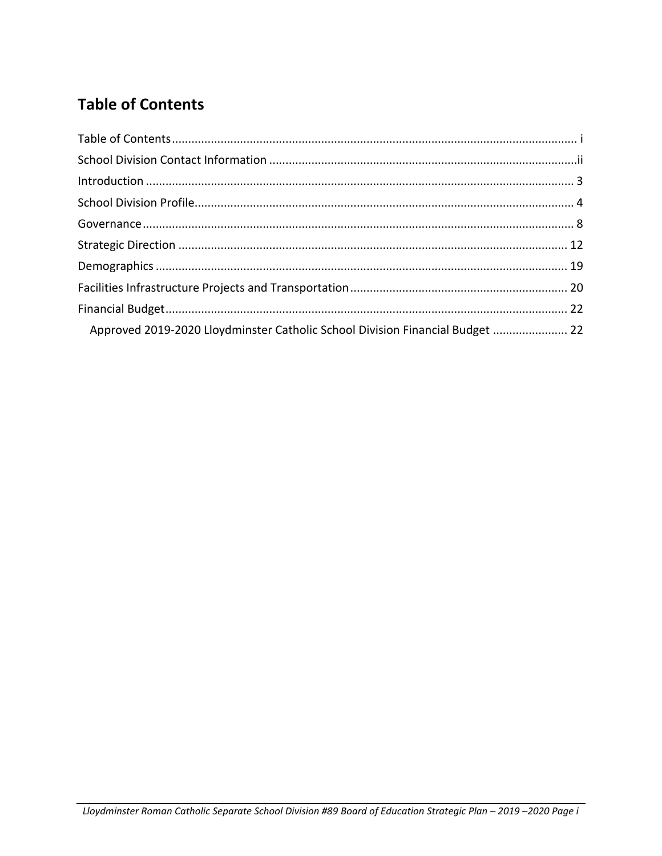# <span id="page-1-0"></span>**Table of Contents**

| Approved 2019-2020 Lloydminster Catholic School Division Financial Budget  22 |  |
|-------------------------------------------------------------------------------|--|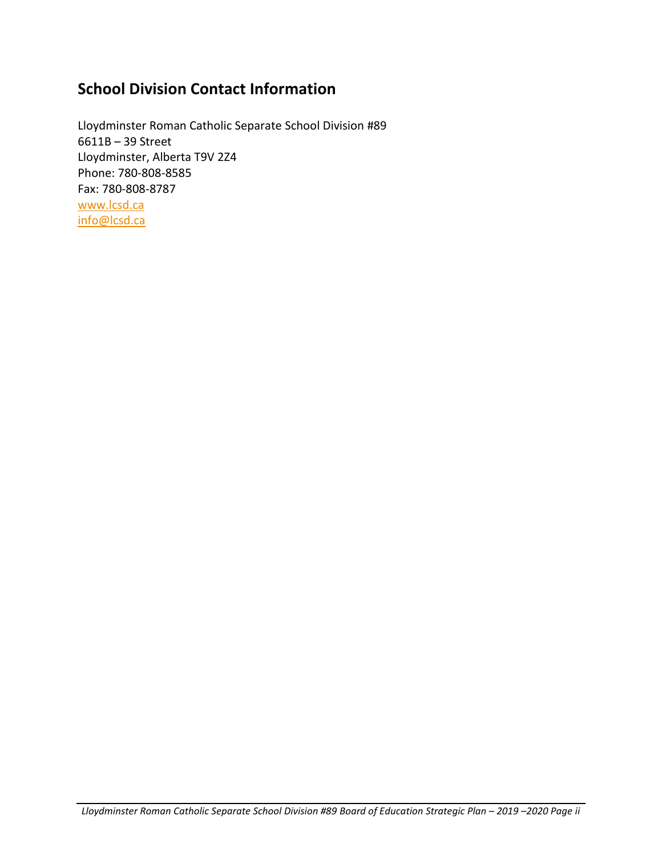# <span id="page-2-0"></span>**School Division Contact Information**

Lloydminster Roman Catholic Separate School Division #89 6611B – 39 Street Lloydminster, Alberta T9V 2Z4 Phone: 780-808-8585 Fax: 780-808-8787 [www.lcsd.ca](http://www.lcsd.ca/) [info@lcsd.ca](mailto:info@lcsd.ca)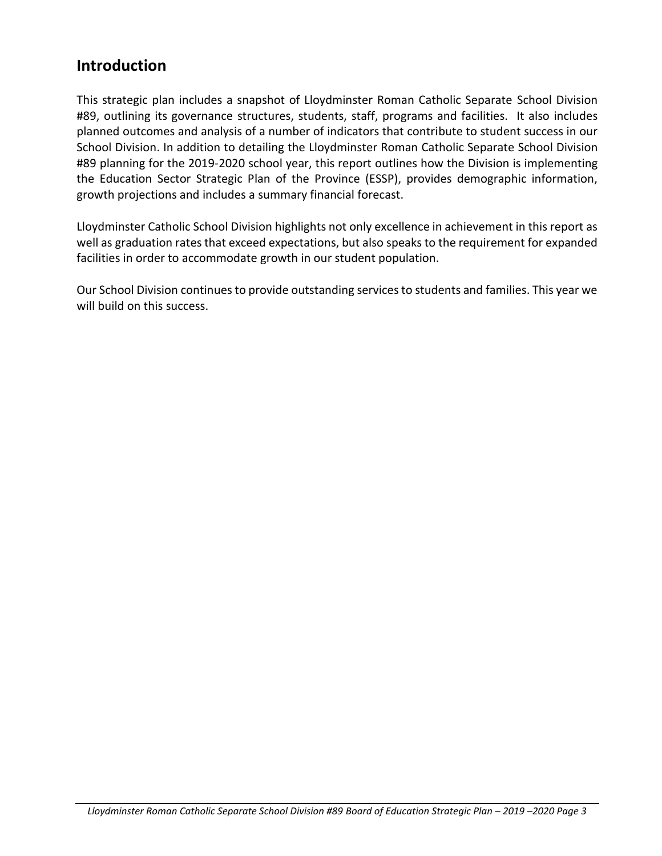# <span id="page-3-0"></span>**Introduction**

This strategic plan includes a snapshot of Lloydminster Roman Catholic Separate School Division #89, outlining its governance structures, students, staff, programs and facilities. It also includes planned outcomes and analysis of a number of indicators that contribute to student success in our School Division. In addition to detailing the Lloydminster Roman Catholic Separate School Division #89 planning for the 2019-2020 school year, this report outlines how the Division is implementing the Education Sector Strategic Plan of the Province (ESSP), provides demographic information, growth projections and includes a summary financial forecast.

Lloydminster Catholic School Division highlights not only excellence in achievement in this report as well as graduation rates that exceed expectations, but also speaks to the requirement for expanded facilities in order to accommodate growth in our student population.

Our School Division continues to provide outstanding services to students and families. This year we will build on this success.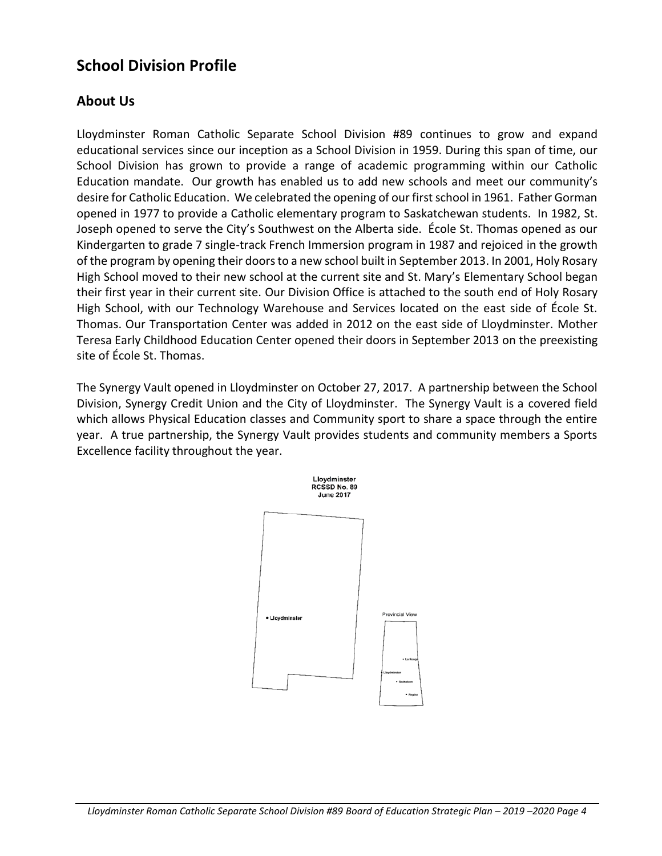# <span id="page-4-0"></span>**School Division Profile**

### **About Us**

Lloydminster Roman Catholic Separate School Division #89 continues to grow and expand educational services since our inception as a School Division in 1959. During this span of time, our School Division has grown to provide a range of academic programming within our Catholic Education mandate. Our growth has enabled us to add new schools and meet our community's desire for Catholic Education. We celebrated the opening of our first school in 1961. Father Gorman opened in 1977 to provide a Catholic elementary program to Saskatchewan students. In 1982, St. Joseph opened to serve the City's Southwest on the Alberta side. École St. Thomas opened as our Kindergarten to grade 7 single-track French Immersion program in 1987 and rejoiced in the growth of the program by opening their doors to a new school built in September 2013. In 2001, Holy Rosary High School moved to their new school at the current site and St. Mary's Elementary School began their first year in their current site. Our Division Office is attached to the south end of Holy Rosary High School, with our Technology Warehouse and Services located on the east side of École St. Thomas. Our Transportation Center was added in 2012 on the east side of Lloydminster. Mother Teresa Early Childhood Education Center opened their doors in September 2013 on the preexisting site of École St. Thomas.

The Synergy Vault opened in Lloydminster on October 27, 2017. A partnership between the School Division, Synergy Credit Union and the City of Lloydminster. The Synergy Vault is a covered field which allows Physical Education classes and Community sport to share a space through the entire year. A true partnership, the Synergy Vault provides students and community members a Sports Excellence facility throughout the year.

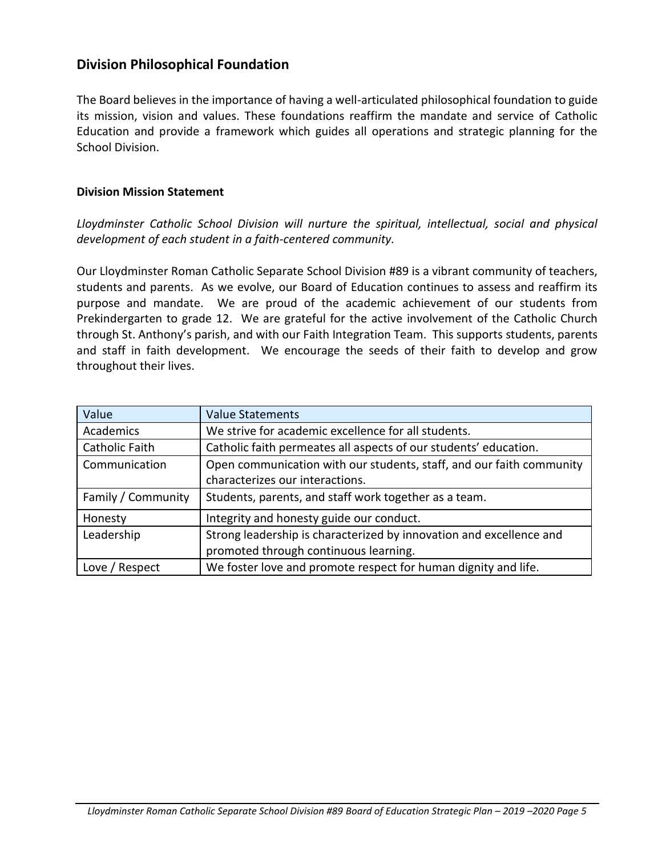### **Division Philosophical Foundation**

The Board believes in the importance of having a well-articulated philosophical foundation to guide its mission, vision and values. These foundations reaffirm the mandate and service of Catholic Education and provide a framework which guides all operations and strategic planning for the School Division.

#### **Division Mission Statement**

*Lloydminster Catholic School Division will nurture the spiritual, intellectual, social and physical development of each student in a faith-centered community.*

Our Lloydminster Roman Catholic Separate School Division #89 is a vibrant community of teachers, students and parents. As we evolve, our Board of Education continues to assess and reaffirm its purpose and mandate. We are proud of the academic achievement of our students from Prekindergarten to grade 12. We are grateful for the active involvement of the Catholic Church through St. Anthony's parish, and with our Faith Integration Team. This supports students, parents and staff in faith development. We encourage the seeds of their faith to develop and grow throughout their lives.

| Value              | <b>Value Statements</b>                                              |
|--------------------|----------------------------------------------------------------------|
| Academics          | We strive for academic excellence for all students.                  |
| Catholic Faith     | Catholic faith permeates all aspects of our students' education.     |
| Communication      | Open communication with our students, staff, and our faith community |
|                    | characterizes our interactions.                                      |
| Family / Community | Students, parents, and staff work together as a team.                |
| Honesty            | Integrity and honesty guide our conduct.                             |
| Leadership         | Strong leadership is characterized by innovation and excellence and  |
|                    | promoted through continuous learning.                                |
| Love / Respect     | We foster love and promote respect for human dignity and life.       |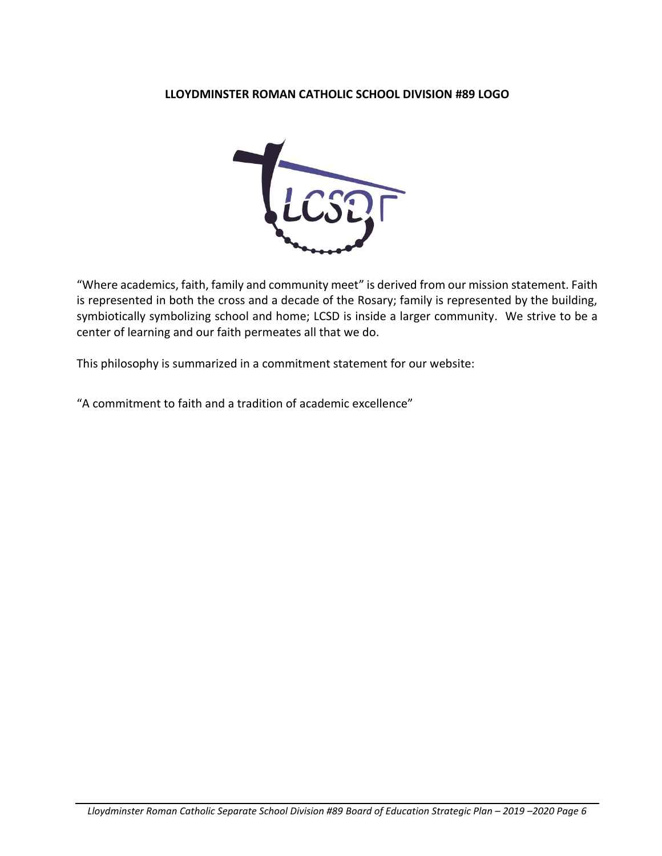#### **LLOYDMINSTER ROMAN CATHOLIC SCHOOL DIVISION #89 LOGO**



"Where academics, faith, family and community meet" is derived from our mission statement. Faith is represented in both the cross and a decade of the Rosary; family is represented by the building, symbiotically symbolizing school and home; LCSD is inside a larger community. We strive to be a center of learning and our faith permeates all that we do.

This philosophy is summarized in a commitment statement for our website:

"A commitment to faith and a tradition of academic excellence"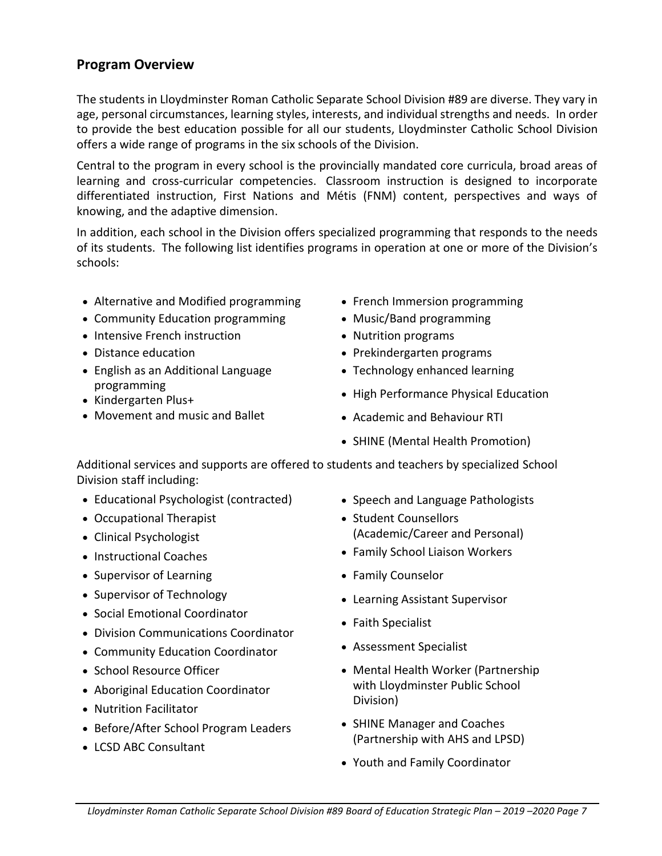### **Program Overview**

The students in Lloydminster Roman Catholic Separate School Division #89 are diverse. They vary in age, personal circumstances, learning styles, interests, and individual strengths and needs. In order to provide the best education possible for all our students, Lloydminster Catholic School Division offers a wide range of programs in the six schools of the Division.

Central to the program in every school is the provincially mandated core curricula, broad areas of learning and cross-curricular competencies. Classroom instruction is designed to incorporate differentiated instruction, First Nations and Métis (FNM) content, perspectives and ways of knowing, and the adaptive dimension.

In addition, each school in the Division offers specialized programming that responds to the needs of its students. The following list identifies programs in operation at one or more of the Division's schools:

- Alternative and Modified programming
- Community Education programming
- Intensive French instruction
- Distance education
- English as an Additional Language programming
- Kindergarten Plus+
- Movement and music and Ballet
- French Immersion programming
- Music/Band programming
- Nutrition programs
- Prekindergarten programs
- Technology enhanced learning
- High Performance Physical Education
- Academic and Behaviour RTI
- SHINE (Mental Health Promotion)

Additional services and supports are offered to students and teachers by specialized School Division staff including:

- Educational Psychologist (contracted)
- Occupational Therapist
- Clinical Psychologist
- Instructional Coaches
- Supervisor of Learning
- Supervisor of Technology
- Social Emotional Coordinator
- Division Communications Coordinator
- Community Education Coordinator
- School Resource Officer
- Aboriginal Education Coordinator
- Nutrition Facilitator
- Before/After School Program Leaders
- LCSD ABC Consultant
- Speech and Language Pathologists
- Student Counsellors (Academic/Career and Personal)
- Family School Liaison Workers
- Family Counselor
- Learning Assistant Supervisor
- Faith Specialist
- Assessment Specialist
- Mental Health Worker (Partnership with Lloydminster Public School Division)
- SHINE Manager and Coaches (Partnership with AHS and LPSD)
- Youth and Family Coordinator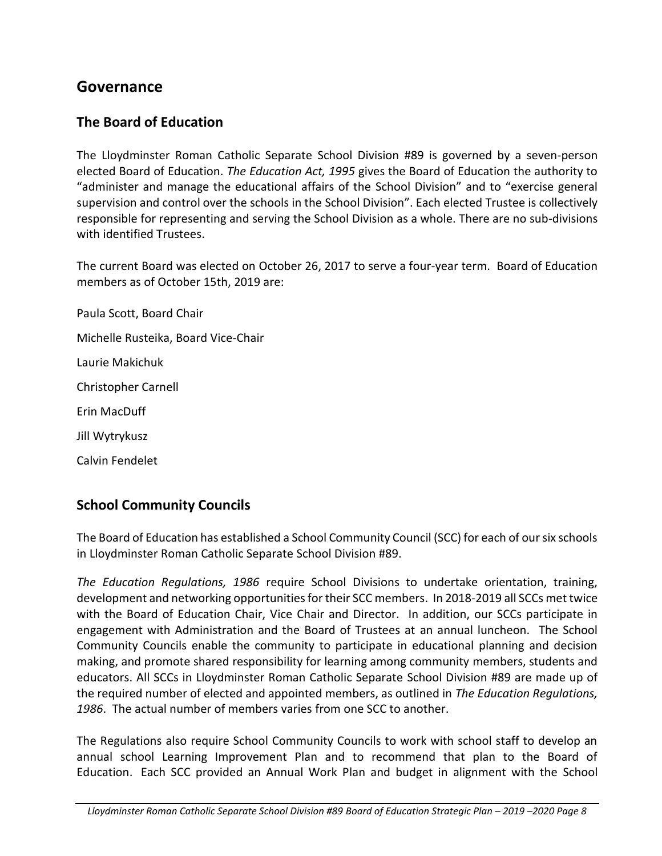## <span id="page-8-0"></span>**Governance**

### **The Board of Education**

The Lloydminster Roman Catholic Separate School Division #89 is governed by a seven-person elected Board of Education. *The Education Act, 1995* gives the Board of Education the authority to "administer and manage the educational affairs of the School Division" and to "exercise general supervision and control over the schools in the School Division". Each elected Trustee is collectively responsible for representing and serving the School Division as a whole. There are no sub-divisions with identified Trustees.

The current Board was elected on October 26, 2017 to serve a four-year term. Board of Education members as of October 15th, 2019 are:

Paula Scott, Board Chair Michelle Rusteika, Board Vice-Chair Laurie Makichuk Christopher Carnell Erin MacDuff Jill Wytrykusz Calvin Fendelet

### **School Community Councils**

The Board of Education has established a School Community Council (SCC) for each of our six schools in Lloydminster Roman Catholic Separate School Division #89.

*The Education Regulations, 1986* require School Divisions to undertake orientation, training, development and networking opportunities for their SCC members. In 2018-2019 all SCCs met twice with the Board of Education Chair, Vice Chair and Director. In addition, our SCCs participate in engagement with Administration and the Board of Trustees at an annual luncheon. The School Community Councils enable the community to participate in educational planning and decision making, and promote shared responsibility for learning among community members, students and educators. All SCCs in Lloydminster Roman Catholic Separate School Division #89 are made up of the required number of elected and appointed members, as outlined in *The Education Regulations, 1986*. The actual number of members varies from one SCC to another.

The Regulations also require School Community Councils to work with school staff to develop an annual school Learning Improvement Plan and to recommend that plan to the Board of Education. Each SCC provided an Annual Work Plan and budget in alignment with the School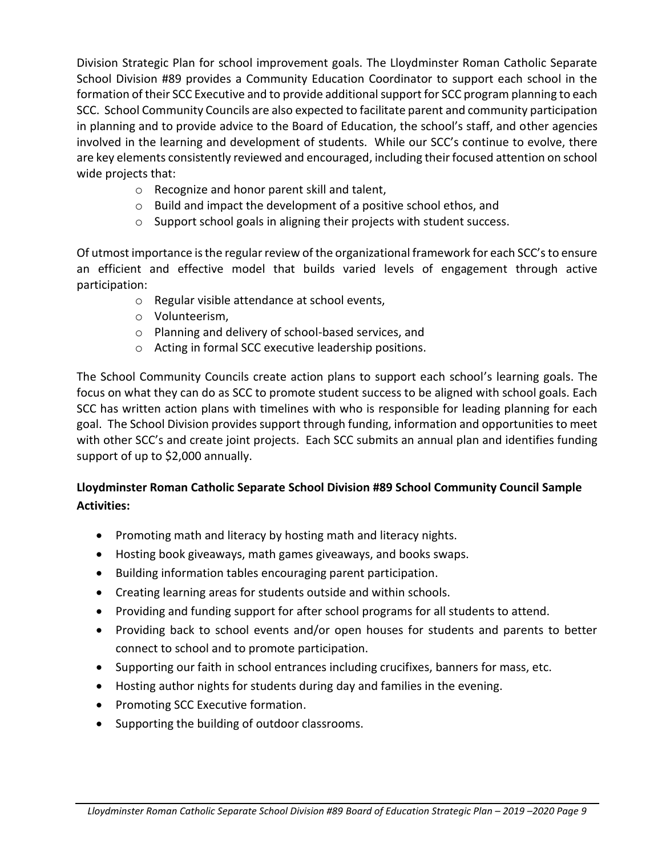Division Strategic Plan for school improvement goals. The Lloydminster Roman Catholic Separate School Division #89 provides a Community Education Coordinator to support each school in the formation of their SCC Executive and to provide additional support for SCC program planning to each SCC. School Community Councils are also expected to facilitate parent and community participation in planning and to provide advice to the Board of Education, the school's staff, and other agencies involved in the learning and development of students. While our SCC's continue to evolve, there are key elements consistently reviewed and encouraged, including their focused attention on school wide projects that:

- o Recognize and honor parent skill and talent,
- o Build and impact the development of a positive school ethos, and
- o Support school goals in aligning their projects with student success.

Of utmost importance is the regular review of the organizational framework for each SCC's to ensure an efficient and effective model that builds varied levels of engagement through active participation:

- o Regular visible attendance at school events,
- o Volunteerism,
- o Planning and delivery of school-based services, and
- o Acting in formal SCC executive leadership positions.

The School Community Councils create action plans to support each school's learning goals. The focus on what they can do as SCC to promote student success to be aligned with school goals. Each SCC has written action plans with timelines with who is responsible for leading planning for each goal. The School Division provides support through funding, information and opportunities to meet with other SCC's and create joint projects. Each SCC submits an annual plan and identifies funding support of up to \$2,000 annually.

### **Lloydminster Roman Catholic Separate School Division #89 School Community Council Sample Activities:**

- Promoting math and literacy by hosting math and literacy nights.
- Hosting book giveaways, math games giveaways, and books swaps.
- Building information tables encouraging parent participation.
- Creating learning areas for students outside and within schools.
- Providing and funding support for after school programs for all students to attend.
- Providing back to school events and/or open houses for students and parents to better connect to school and to promote participation.
- Supporting our faith in school entrances including crucifixes, banners for mass, etc.
- Hosting author nights for students during day and families in the evening.
- Promoting SCC Executive formation.
- Supporting the building of outdoor classrooms.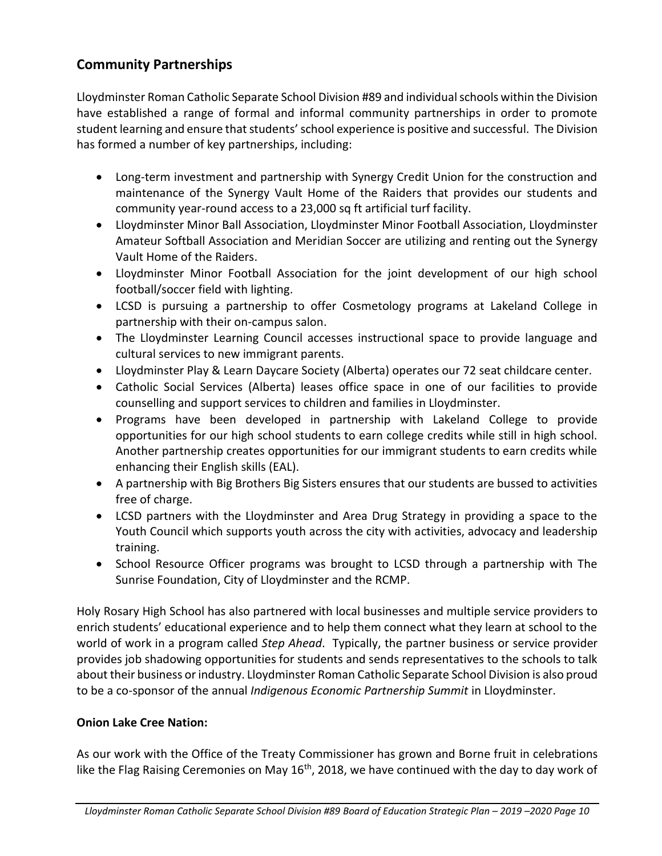## **Community Partnerships**

Lloydminster Roman Catholic Separate School Division #89 and individual schools within the Division have established a range of formal and informal community partnerships in order to promote student learning and ensure that students' school experience is positive and successful. The Division has formed a number of key partnerships, including:

- Long-term investment and partnership with Synergy Credit Union for the construction and maintenance of the Synergy Vault Home of the Raiders that provides our students and community year-round access to a 23,000 sq ft artificial turf facility.
- Lloydminster Minor Ball Association, Lloydminster Minor Football Association, Lloydminster Amateur Softball Association and Meridian Soccer are utilizing and renting out the Synergy Vault Home of the Raiders.
- Lloydminster Minor Football Association for the joint development of our high school football/soccer field with lighting.
- LCSD is pursuing a partnership to offer Cosmetology programs at Lakeland College in partnership with their on-campus salon.
- The Lloydminster Learning Council accesses instructional space to provide language and cultural services to new immigrant parents.
- Lloydminster Play & Learn Daycare Society (Alberta) operates our 72 seat childcare center.
- Catholic Social Services (Alberta) leases office space in one of our facilities to provide counselling and support services to children and families in Lloydminster.
- Programs have been developed in partnership with Lakeland College to provide opportunities for our high school students to earn college credits while still in high school. Another partnership creates opportunities for our immigrant students to earn credits while enhancing their English skills (EAL).
- A partnership with Big Brothers Big Sisters ensures that our students are bussed to activities free of charge.
- LCSD partners with the Lloydminster and Area Drug Strategy in providing a space to the Youth Council which supports youth across the city with activities, advocacy and leadership training.
- School Resource Officer programs was brought to LCSD through a partnership with The Sunrise Foundation, City of Lloydminster and the RCMP.

Holy Rosary High School has also partnered with local businesses and multiple service providers to enrich students' educational experience and to help them connect what they learn at school to the world of work in a program called *Step Ahead*. Typically, the partner business or service provider provides job shadowing opportunities for students and sends representatives to the schools to talk about their business or industry. Lloydminster Roman Catholic Separate School Division is also proud to be a co-sponsor of the annual *Indigenous Economic Partnership Summit* in Lloydminster.

### **Onion Lake Cree Nation:**

As our work with the Office of the Treaty Commissioner has grown and Borne fruit in celebrations like the Flag Raising Ceremonies on May  $16<sup>th</sup>$ , 2018, we have continued with the day to day work of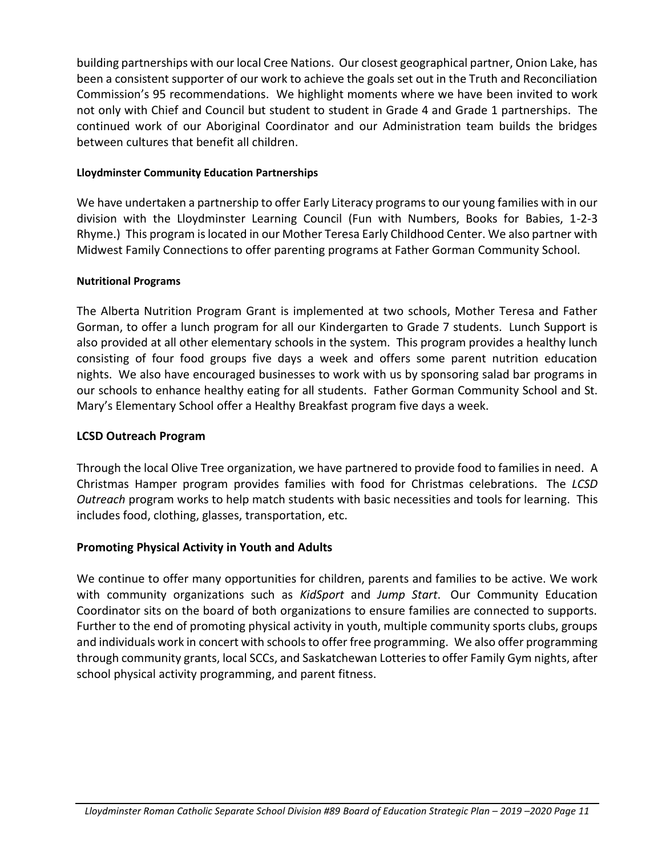building partnerships with our local Cree Nations. Our closest geographical partner, Onion Lake, has been a consistent supporter of our work to achieve the goals set out in the Truth and Reconciliation Commission's 95 recommendations. We highlight moments where we have been invited to work not only with Chief and Council but student to student in Grade 4 and Grade 1 partnerships. The continued work of our Aboriginal Coordinator and our Administration team builds the bridges between cultures that benefit all children.

#### **Lloydminster Community Education Partnerships**

We have undertaken a partnership to offer Early Literacy programs to our young families with in our division with the Lloydminster Learning Council (Fun with Numbers, Books for Babies, 1-2-3 Rhyme.) This program is located in our Mother Teresa Early Childhood Center. We also partner with Midwest Family Connections to offer parenting programs at Father Gorman Community School.

#### **Nutritional Programs**

The Alberta Nutrition Program Grant is implemented at two schools, Mother Teresa and Father Gorman, to offer a lunch program for all our Kindergarten to Grade 7 students. Lunch Support is also provided at all other elementary schools in the system. This program provides a healthy lunch consisting of four food groups five days a week and offers some parent nutrition education nights. We also have encouraged businesses to work with us by sponsoring salad bar programs in our schools to enhance healthy eating for all students. Father Gorman Community School and St. Mary's Elementary School offer a Healthy Breakfast program five days a week.

#### **LCSD Outreach Program**

Through the local Olive Tree organization, we have partnered to provide food to families in need. A Christmas Hamper program provides families with food for Christmas celebrations. The *LCSD Outreach* program works to help match students with basic necessities and tools for learning. This includes food, clothing, glasses, transportation, etc.

#### **Promoting Physical Activity in Youth and Adults**

We continue to offer many opportunities for children, parents and families to be active. We work with community organizations such as *KidSport* and *Jump Start*. Our Community Education Coordinator sits on the board of both organizations to ensure families are connected to supports. Further to the end of promoting physical activity in youth, multiple community sports clubs, groups and individuals work in concert with schools to offer free programming. We also offer programming through community grants, local SCCs, and Saskatchewan Lotteries to offer Family Gym nights, after school physical activity programming, and parent fitness.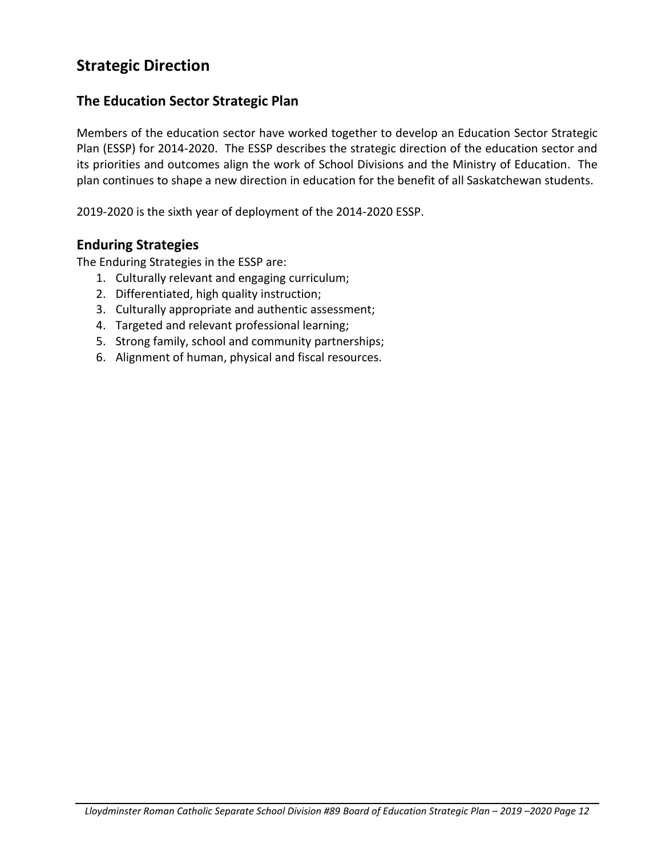# <span id="page-12-0"></span>**Strategic Direction**

### **The Education Sector Strategic Plan**

Members of the education sector have worked together to develop an Education Sector Strategic Plan (ESSP) for 2014-2020. The ESSP describes the strategic direction of the education sector and its priorities and outcomes align the work of School Divisions and the Ministry of Education. The plan continues to shape a new direction in education for the benefit of all Saskatchewan students.

2019-2020 is the sixth year of deployment of the 2014-2020 ESSP.

### **Enduring Strategies**

The Enduring Strategies in the ESSP are:

- 1. Culturally relevant and engaging curriculum;
- 2. Differentiated, high quality instruction;
- 3. Culturally appropriate and authentic assessment;
- 4. Targeted and relevant professional learning;
- 5. Strong family, school and community partnerships;
- 6. Alignment of human, physical and fiscal resources.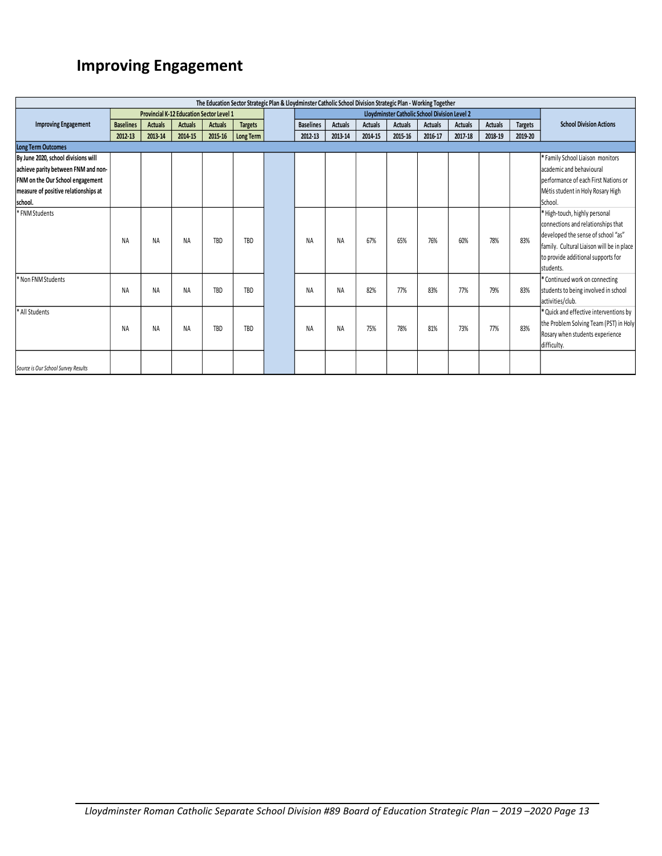# **Improving Engagement**

| The Education Sector Strategic Plan & Lloydminster Catholic School Division Strategic Plan - Working Together |                  |                                                 |                |                |                |  |                  |                |                |                                               |                |                |                |                |                                                                                                                                                                                                           |
|---------------------------------------------------------------------------------------------------------------|------------------|-------------------------------------------------|----------------|----------------|----------------|--|------------------|----------------|----------------|-----------------------------------------------|----------------|----------------|----------------|----------------|-----------------------------------------------------------------------------------------------------------------------------------------------------------------------------------------------------------|
|                                                                                                               |                  | <b>Provincial K-12 Education Sector Level 1</b> |                |                |                |  |                  |                |                | Lloydminster Catholic School Division Level 2 |                |                |                |                |                                                                                                                                                                                                           |
| <b>Improving Engagement</b>                                                                                   | <b>Baselines</b> | <b>Actuals</b>                                  | <b>Actuals</b> | <b>Actuals</b> | <b>Targets</b> |  | <b>Baselines</b> | <b>Actuals</b> | <b>Actuals</b> | <b>Actuals</b>                                | <b>Actuals</b> | <b>Actuals</b> | <b>Actuals</b> | <b>Targets</b> | <b>School Division Actions</b>                                                                                                                                                                            |
|                                                                                                               | 2012-13          | 2013-14                                         | 2014-15        | 2015-16        | Long Term      |  | 2012-13          | 2013-14        | 2014-15        | 2015-16                                       | 2016-17        | 2017-18        | 2018-19        | 2019-20        |                                                                                                                                                                                                           |
| <b>Long Term Outcomes</b>                                                                                     |                  |                                                 |                |                |                |  |                  |                |                |                                               |                |                |                |                |                                                                                                                                                                                                           |
| By June 2020, school divisions will                                                                           |                  |                                                 |                |                |                |  |                  |                |                |                                               |                |                |                |                | * Family School Liaison monitors                                                                                                                                                                          |
| achieve parity between FNM and non-                                                                           |                  |                                                 |                |                |                |  |                  |                |                |                                               |                |                |                |                | lacademic and behavioural                                                                                                                                                                                 |
| FNM on the Our School engagement                                                                              |                  |                                                 |                |                |                |  |                  |                |                |                                               |                |                |                |                | berformance of each First Nations or                                                                                                                                                                      |
| measure of positive relationships at                                                                          |                  |                                                 |                |                |                |  |                  |                |                |                                               |                |                |                |                | Métis student in Holy Rosary High                                                                                                                                                                         |
| school.                                                                                                       |                  |                                                 |                |                |                |  |                  |                |                |                                               |                |                |                |                | School.                                                                                                                                                                                                   |
| * FNM Students                                                                                                | <b>NA</b>        | <b>NA</b>                                       | <b>NA</b>      | TBD            | TBD            |  | <b>NA</b>        | <b>NA</b>      | 67%            | 65%                                           | 76%            | 60%            | 78%            | 83%            | * High-touch, highly personal<br>connections and relationships that<br>developed the sense of school "as"<br>family. Cultural Liaison will be in place<br>to provide additional supports for<br>students. |
| Non FNM Students                                                                                              | <b>NA</b>        | NA                                              | <b>NA</b>      | <b>TBD</b>     | TBD            |  | <b>NA</b>        | <b>NA</b>      | 82%            | 77%                                           | 83%            | 77%            | 79%            | 83%            | * Continued work on connecting<br>students to being involved in school<br>activities/club.                                                                                                                |
| * All Students                                                                                                | NA               | NA                                              | <b>NA</b>      | TBD            | TBD            |  | <b>NA</b>        | <b>NA</b>      | 75%            | 78%                                           | 81%            | 73%            | 77%            | 83%            | * Quick and effective interventions by<br>the Problem Solving Team (PST) in Holy<br>Rosary when students experience<br>difficulty.                                                                        |
| Source is Our School Survey Results                                                                           |                  |                                                 |                |                |                |  |                  |                |                |                                               |                |                |                |                |                                                                                                                                                                                                           |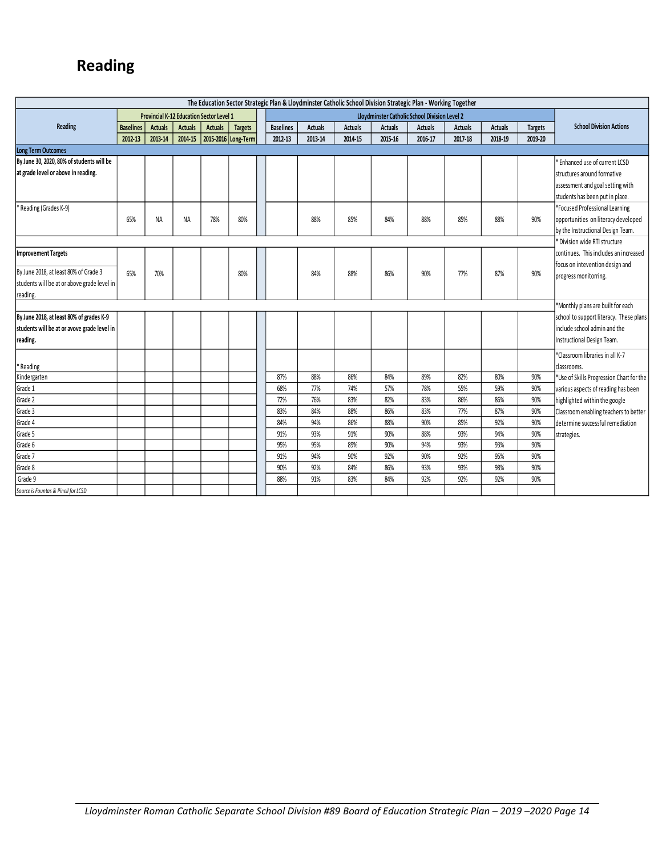# **Reading**

| The Education Sector Strategic Plan & Lloydminster Catholic School Division Strategic Plan - Working Together |                  |                |                                                 |                |                     |                  |                |                |                |                                               |                |                |                |                                          |
|---------------------------------------------------------------------------------------------------------------|------------------|----------------|-------------------------------------------------|----------------|---------------------|------------------|----------------|----------------|----------------|-----------------------------------------------|----------------|----------------|----------------|------------------------------------------|
|                                                                                                               |                  |                | <b>Provincial K-12 Education Sector Level 1</b> |                |                     |                  |                |                |                | Lloydminster Catholic School Division Level 2 |                |                |                |                                          |
| Reading                                                                                                       | <b>Baselines</b> | <b>Actuals</b> | <b>Actuals</b>                                  | <b>Actuals</b> | <b>Targets</b>      | <b>Baselines</b> | <b>Actuals</b> | <b>Actuals</b> | <b>Actuals</b> | <b>Actuals</b>                                | <b>Actuals</b> | <b>Actuals</b> | <b>Targets</b> | <b>School Division Actions</b>           |
|                                                                                                               | 2012-13          | 2013-14        | 2014-15                                         |                | 2015-2016 Long-Term | 2012-13          | 2013-14        | 2014 15        | 2015-16        | 2016-17                                       | 2017-18        | 2018-19        | 2019-20        |                                          |
| <b>Long Term Outcomes</b>                                                                                     |                  |                |                                                 |                |                     |                  |                |                |                |                                               |                |                |                |                                          |
| By June 30, 2020, 80% of students will be                                                                     |                  |                |                                                 |                |                     |                  |                |                |                |                                               |                |                |                | <b>Enhanced use of current LCSD</b>      |
| at grade level or above in reading.                                                                           |                  |                |                                                 |                |                     |                  |                |                |                |                                               |                |                |                | structures around formative              |
|                                                                                                               |                  |                |                                                 |                |                     |                  |                |                |                |                                               |                |                |                | assessment and goal setting with         |
|                                                                                                               |                  |                |                                                 |                |                     |                  |                |                |                |                                               |                |                |                | students has been put in place.          |
| * Reading (Grades K-9)                                                                                        |                  |                |                                                 |                |                     |                  |                |                |                |                                               |                |                |                | *Focused Professional Learning           |
|                                                                                                               | 65%              | NA             | <b>NA</b>                                       | 78%            | 80%                 |                  | 88%            | 85%            | 84%            | 88%                                           | 85%            | 88%            | 90%            | opportunities on literacy developed      |
|                                                                                                               |                  |                |                                                 |                |                     |                  |                |                |                |                                               |                |                |                | by the Instructional Design Team.        |
|                                                                                                               |                  |                |                                                 |                |                     |                  |                |                |                |                                               |                |                |                | Division wide RTI structure              |
| Improvement Targets                                                                                           |                  |                |                                                 |                |                     |                  |                |                |                |                                               |                |                |                | continues. This includes an increased    |
|                                                                                                               |                  |                |                                                 |                |                     |                  |                |                |                |                                               |                |                |                | focus on intevention design and          |
| By June 2018, at least 80% of Grade 3                                                                         | 65%              | 70%            |                                                 |                | 80%                 |                  | 84%            | 88%            | 86%            | 90%                                           | 77%            | 87%            | 90%            | progress monitorring.                    |
| students will be at or above grade level in                                                                   |                  |                |                                                 |                |                     |                  |                |                |                |                                               |                |                |                |                                          |
| reading.                                                                                                      |                  |                |                                                 |                |                     |                  |                |                |                |                                               |                |                |                | *Monthly plans are built for each        |
| By June 2018, at least 80% of grades K-9                                                                      |                  |                |                                                 |                |                     |                  |                |                |                |                                               |                |                |                | school to support literacy. These plans  |
| students will be at or avove grade level in                                                                   |                  |                |                                                 |                |                     |                  |                |                |                |                                               |                |                |                | include school admin and the             |
| reading.                                                                                                      |                  |                |                                                 |                |                     |                  |                |                |                |                                               |                |                |                | Instructional Design Team.               |
|                                                                                                               |                  |                |                                                 |                |                     |                  |                |                |                |                                               |                |                |                |                                          |
|                                                                                                               |                  |                |                                                 |                |                     |                  |                |                |                |                                               |                |                |                | *Classroom libraries in all K-7          |
| * Reading                                                                                                     |                  |                |                                                 |                |                     |                  |                |                |                |                                               |                |                |                | classrooms.                              |
| Kindergarten                                                                                                  |                  |                |                                                 |                |                     | 87%              | 88%            | 86%            | 84%            | 89%                                           | 82%            | 80%            | 90%            | *Use of Skills Progression Chart for the |
| Grade 1<br>Grade 2                                                                                            |                  |                |                                                 |                |                     | 68%<br>72%       | 77%<br>76%     | 74%            | 57%            | 78%                                           | 55%<br>86%     | 59%<br>86%     | 90%            | various aspects of reading has been      |
|                                                                                                               |                  |                |                                                 |                |                     |                  |                | 83%<br>88%     | 82%            | 83%                                           |                |                | 90%            | highlighted within the google            |
| Grade 3<br>Grade 4                                                                                            |                  |                |                                                 |                |                     | 83%              | 84%            | 86%            | 86%            | 83%<br>90%                                    | 77%<br>85%     | 87%<br>92%     | 90%            | Classroom enabling teachers to better    |
|                                                                                                               |                  |                |                                                 |                |                     | 84%<br>91%       | 94%<br>93%     | 91%            | 88%<br>90%     |                                               | 93%            | 94%            | 90%            | determine successful remediation         |
| Grade 5<br>Grade 6                                                                                            |                  |                |                                                 |                |                     | 95%              | 95%            | 89%            | 90%            | 88%<br>94%                                    | 93%            | 93%            | 90%<br>90%     | strategies.                              |
|                                                                                                               |                  |                |                                                 |                |                     |                  |                |                |                |                                               |                |                |                |                                          |
| Grade 7                                                                                                       |                  |                |                                                 |                |                     | 91%<br>90%       | 94%<br>92%     | 90%<br>84%     | 92%<br>86%     | 90%<br>93%                                    | 92%<br>93%     | 95%<br>98%     | 90%<br>90%     |                                          |
| Grade 8<br>Grade 9                                                                                            |                  |                |                                                 |                |                     |                  |                | 83%            |                |                                               |                |                |                |                                          |
|                                                                                                               |                  |                |                                                 |                |                     | 88%              | 91%            |                | 84%            | 92%                                           | 92%            | 92%            | 90%            |                                          |
| Source is Fountas & Pinell for LCSD                                                                           |                  |                |                                                 |                |                     |                  |                |                |                |                                               |                |                |                |                                          |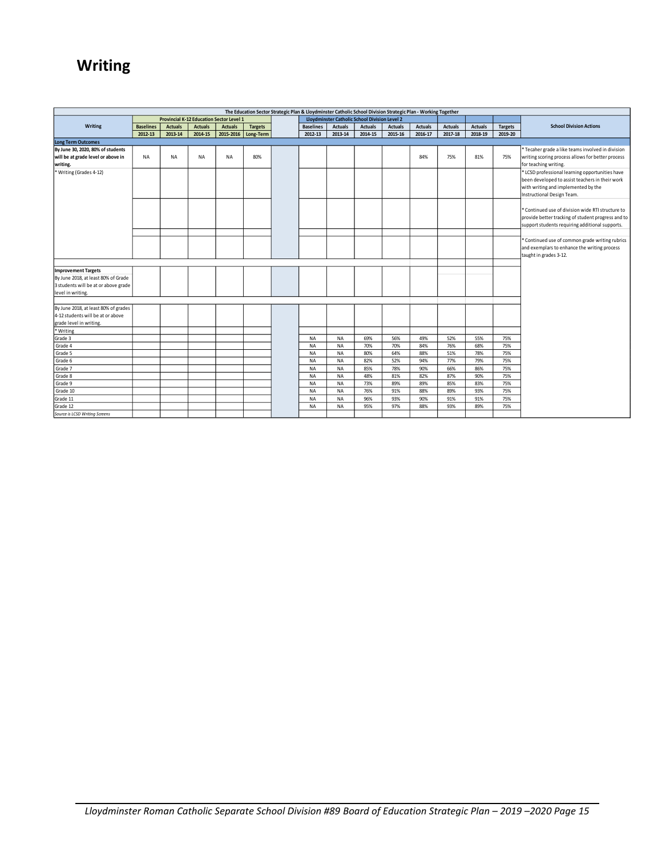# **Writing**

| The Education Sector Strategic Plan & Lloydminster Catholic School Division Strategic Plan - Working Together |                  |                |                |                                          |                |  |                  |                |                                               |                |                |                |                |                |                                                    |
|---------------------------------------------------------------------------------------------------------------|------------------|----------------|----------------|------------------------------------------|----------------|--|------------------|----------------|-----------------------------------------------|----------------|----------------|----------------|----------------|----------------|----------------------------------------------------|
|                                                                                                               |                  |                |                | Provincial K-12 Education Sector Level 1 |                |  |                  |                | Lloydminster Catholic School Division Level 2 |                |                |                |                |                |                                                    |
| Writing                                                                                                       | <b>Baselines</b> | <b>Actuals</b> | <b>Actuals</b> | <b>Actuals</b>                           | <b>Targets</b> |  | <b>Baselines</b> | <b>Actuals</b> | <b>Actuals</b>                                | <b>Actuals</b> | <b>Actuals</b> | <b>Actuals</b> | <b>Actuals</b> | <b>Targets</b> | <b>School Division Actions</b>                     |
|                                                                                                               | 2012-13          | 2013-14        | 2014-15        | 2015-2016                                | Long-Term      |  | 2012-13          | 2013-14        | 2014-15                                       | 2015-16        | 2016-17        | 2017-18        | 2018-19        | 2019-20        |                                                    |
| <b>Long Term Outcomes</b>                                                                                     |                  |                |                |                                          |                |  |                  |                |                                               |                |                |                |                |                |                                                    |
| By June 30, 2020, 80% of students                                                                             |                  |                |                |                                          |                |  |                  |                |                                               |                |                |                |                |                | * Tecaher grade a like teams involved in division  |
| will be at grade level or above in                                                                            | <b>NA</b>        | <b>NA</b>      | <b>NA</b>      | <b>NA</b>                                | 80%            |  |                  |                |                                               |                | 84%            | 75%            | 81%            | 75%            | writing scoring process allows for better process  |
| writing.                                                                                                      |                  |                |                |                                          |                |  |                  |                |                                               |                |                |                |                |                | for teaching writing.                              |
| Writing (Grades 4-12)                                                                                         |                  |                |                |                                          |                |  |                  |                |                                               |                |                |                |                |                | * LCSD professional learning opportunities have    |
|                                                                                                               |                  |                |                |                                          |                |  |                  |                |                                               |                |                |                |                |                | been developed to assist teachers in their work    |
|                                                                                                               |                  |                |                |                                          |                |  |                  |                |                                               |                |                |                |                |                | with writing and implemented by the                |
|                                                                                                               |                  |                |                |                                          |                |  |                  |                |                                               |                |                |                |                |                | Instructional Design Team.                         |
|                                                                                                               |                  |                |                |                                          |                |  |                  |                |                                               |                |                |                |                |                |                                                    |
|                                                                                                               |                  |                |                |                                          |                |  |                  |                |                                               |                |                |                |                |                | * Continued use of division wide RTI structure to  |
|                                                                                                               |                  |                |                |                                          |                |  |                  |                |                                               |                |                |                |                |                | provide better tracking of student progress and to |
|                                                                                                               |                  |                |                |                                          |                |  |                  |                |                                               |                |                |                |                |                | support students requiring additional supports.    |
|                                                                                                               |                  |                |                |                                          |                |  |                  |                |                                               |                |                |                |                |                |                                                    |
|                                                                                                               |                  |                |                |                                          |                |  |                  |                |                                               |                |                |                |                |                | * Continued use of common grade writing rubrics    |
|                                                                                                               |                  |                |                |                                          |                |  |                  |                |                                               |                |                |                |                |                | and exemplars to enhance the writing process       |
|                                                                                                               |                  |                |                |                                          |                |  |                  |                |                                               |                |                |                |                |                | taught in grades 3-12.                             |
| <b>Improvement Targets</b>                                                                                    |                  |                |                |                                          |                |  |                  |                |                                               |                |                |                |                |                |                                                    |
| By June 2018, at least 80% of Grade                                                                           |                  |                |                |                                          |                |  |                  |                |                                               |                |                |                |                |                |                                                    |
| 3 students will be at or above grade                                                                          |                  |                |                |                                          |                |  |                  |                |                                               |                |                |                |                |                |                                                    |
| level in writing.                                                                                             |                  |                |                |                                          |                |  |                  |                |                                               |                |                |                |                |                |                                                    |
|                                                                                                               |                  |                |                |                                          |                |  |                  |                |                                               |                |                |                |                |                |                                                    |
| By June 2018, at least 80% of grades                                                                          |                  |                |                |                                          |                |  |                  |                |                                               |                |                |                |                |                |                                                    |
| 4-12 students will be at or above                                                                             |                  |                |                |                                          |                |  |                  |                |                                               |                |                |                |                |                |                                                    |
| grade level in writing.                                                                                       |                  |                |                |                                          |                |  |                  |                |                                               |                |                |                |                |                |                                                    |
| * Writing                                                                                                     |                  |                |                |                                          |                |  |                  |                |                                               |                |                |                |                |                |                                                    |
| Grade 3                                                                                                       |                  |                |                |                                          |                |  | <b>NA</b>        | <b>NA</b>      | 69%                                           | 56%            | 49%            | 52%            | 55%            | 75%            |                                                    |
| Grade 4                                                                                                       |                  |                |                |                                          |                |  | <b>NA</b>        | <b>NA</b>      | 70%                                           | 70%            | 84%            | 76%            | 68%            | 75%            |                                                    |
| Grade 5                                                                                                       |                  |                |                |                                          |                |  | <b>NA</b>        | <b>NA</b>      | 80%                                           | 64%            | 88%            | 51%            | 78%            | 75%            |                                                    |
| Grade 6                                                                                                       |                  |                |                |                                          |                |  | <b>NA</b>        | <b>NA</b>      | 82%                                           | 52%            | 94%            | 77%            | 79%            | 75%            |                                                    |
| Grade 7                                                                                                       |                  |                |                |                                          |                |  | <b>NA</b>        | <b>NA</b>      | 85%                                           | 78%            | 90%            | 66%            | 86%            | 75%            |                                                    |
| Grade 8                                                                                                       |                  |                |                |                                          |                |  | <b>NA</b>        | <b>NA</b>      | 48%                                           | 81%            | 82%            | 87%            | 90%            | 75%            |                                                    |
| Grade 9                                                                                                       |                  |                |                |                                          |                |  | <b>NA</b>        | <b>NA</b>      | 73%                                           | 89%            | 89%            | 85%            | 83%            | 75%            |                                                    |
| Grade 10                                                                                                      |                  |                |                |                                          |                |  | <b>NA</b>        | <b>NA</b>      | 76%                                           | 91%            | 88%            | 89%            | 93%            | 75%            |                                                    |
| Grade 11                                                                                                      |                  |                |                |                                          |                |  | <b>NA</b>        | <b>NA</b>      | 96%                                           | 93%            | 90%            | 91%            | 91%            | 75%            |                                                    |
| Grade 12                                                                                                      |                  |                |                |                                          |                |  | NA               | NA             | 95%                                           | 97%            | 88%            | 93%            | 89%            | 75%            |                                                    |
| Source is LCSD Writing Screens                                                                                |                  |                |                |                                          |                |  |                  |                |                                               |                |                |                |                |                |                                                    |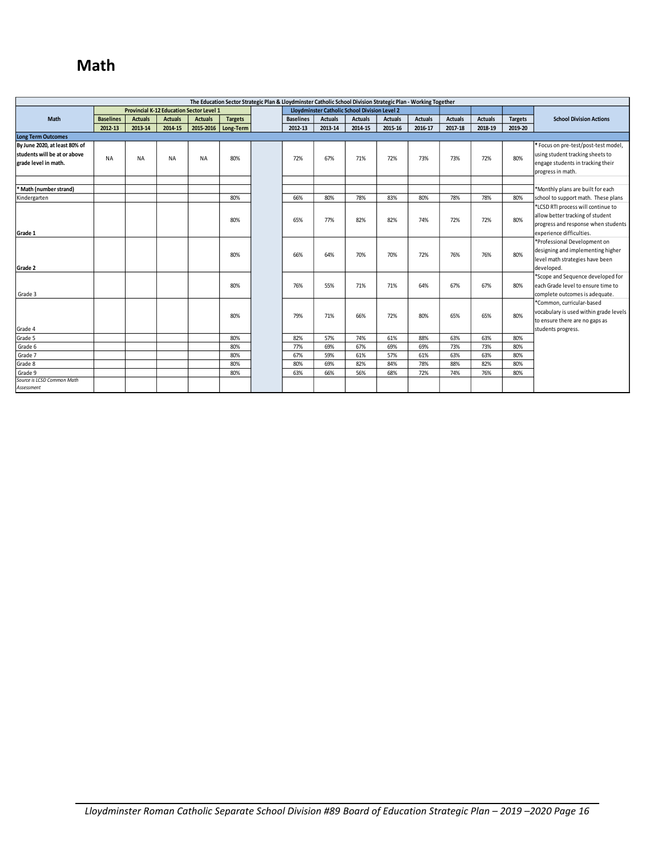# **Math**

| The Education Sector Strategic Plan & Lloydminster Catholic School Division Strategic Plan - Working Together |                  |                |                |                                                 |                |  |                  |                |                                               |                |                |                |                |                |                                        |
|---------------------------------------------------------------------------------------------------------------|------------------|----------------|----------------|-------------------------------------------------|----------------|--|------------------|----------------|-----------------------------------------------|----------------|----------------|----------------|----------------|----------------|----------------------------------------|
|                                                                                                               |                  |                |                | <b>Provincial K-12 Education Sector Level 1</b> |                |  |                  |                | Lloydminster Catholic School Division Level 2 |                |                |                |                |                |                                        |
| Math                                                                                                          | <b>Baselines</b> | <b>Actuals</b> | <b>Actuals</b> | <b>Actuals</b>                                  | <b>Targets</b> |  | <b>Baselines</b> | <b>Actuals</b> | <b>Actuals</b>                                | <b>Actuals</b> | <b>Actuals</b> | <b>Actuals</b> | <b>Actuals</b> | <b>Targets</b> | <b>School Division Actions</b>         |
|                                                                                                               | 2012-13          | 2013-14        | 2014-15        | 2015-2016                                       | Long-Term      |  | 2012-13          | 2013-14        | 2014-15                                       | 2015-16        | 2016-17        | 2017-18        | 2018-19        | 2019-20        |                                        |
| <b>Long Term Outcomes</b>                                                                                     |                  |                |                |                                                 |                |  |                  |                |                                               |                |                |                |                |                |                                        |
| By June 2020, at least 80% of                                                                                 |                  |                |                |                                                 |                |  |                  |                |                                               |                |                |                |                |                | * Focus on pre-test/post-test model,   |
| students will be at or above                                                                                  | <b>NA</b>        | <b>NA</b>      | <b>NA</b>      | <b>NA</b>                                       | 80%            |  | 72%              | 67%            | 71%                                           | 72%            | 73%            | 73%            | 72%            | 80%            | using student tracking sheets to       |
| grade level in math.                                                                                          |                  |                |                |                                                 |                |  |                  |                |                                               |                |                |                |                |                | engage students in tracking their      |
|                                                                                                               |                  |                |                |                                                 |                |  |                  |                |                                               |                |                |                |                |                | progress in math.                      |
|                                                                                                               |                  |                |                |                                                 |                |  |                  |                |                                               |                |                |                |                |                |                                        |
| * Math (number strand)                                                                                        |                  |                |                |                                                 |                |  |                  |                |                                               |                |                |                |                |                | *Monthly plans are built for each      |
| Kindergarten                                                                                                  |                  |                |                |                                                 | 80%            |  | 66%              | 80%            | 78%                                           | 83%            | 80%            | 78%            | 78%            | 80%            | school to support math. These plans    |
|                                                                                                               |                  |                |                |                                                 |                |  |                  |                |                                               |                |                |                |                |                | *LCSD RTI process will continue to     |
|                                                                                                               |                  |                |                |                                                 | 80%            |  | 65%              | 77%            | 82%                                           | 82%            | 74%            | 72%            | 72%            | 80%            | allow better tracking of student       |
|                                                                                                               |                  |                |                |                                                 |                |  |                  |                |                                               |                |                |                |                |                | progress and response when students    |
| Grade 1                                                                                                       |                  |                |                |                                                 |                |  |                  |                |                                               |                |                |                |                |                | lexperience difficulties.              |
|                                                                                                               |                  |                |                |                                                 |                |  |                  |                |                                               |                |                |                |                |                | *Professional Development on           |
|                                                                                                               |                  |                |                |                                                 | 80%            |  | 66%              | 64%            | 70%                                           | 70%            | 72%            | 76%            | 76%            | 80%            | designing and implementing higher      |
|                                                                                                               |                  |                |                |                                                 |                |  |                  |                |                                               |                |                |                |                |                | level math strategies have been        |
| Grade 2                                                                                                       |                  |                |                |                                                 |                |  |                  |                |                                               |                |                |                |                |                | developed.                             |
|                                                                                                               |                  |                |                |                                                 |                |  |                  |                |                                               |                |                |                |                |                | *Scope and Sequence developed for      |
|                                                                                                               |                  |                |                |                                                 | 80%            |  | 76%              | 55%            | 71%                                           | 71%            | 64%            | 67%            | 67%            | 80%            | leach Grade level to ensure time to    |
| Grade 3                                                                                                       |                  |                |                |                                                 |                |  |                  |                |                                               |                |                |                |                |                | complete outcomes is adequate.         |
|                                                                                                               |                  |                |                |                                                 |                |  |                  |                |                                               |                |                |                |                |                | *Common, curricular-based              |
|                                                                                                               |                  |                |                |                                                 | 80%            |  | 79%              | 71%            | 66%                                           | 72%            | 80%            | 65%            | 65%            | 80%            | vocabulary is used within grade levels |
|                                                                                                               |                  |                |                |                                                 |                |  |                  |                |                                               |                |                |                |                |                | to ensure there are no gaps as         |
| Grade 4                                                                                                       |                  |                |                |                                                 |                |  |                  |                |                                               |                |                |                |                |                | students progress.                     |
| Grade 5                                                                                                       |                  |                |                |                                                 | 80%            |  | 82%              | 57%            | 74%                                           | 61%            | 88%            | 63%            | 63%            | 80%            |                                        |
| Grade 6                                                                                                       |                  |                |                |                                                 | 80%            |  | 77%              | 69%            | 67%                                           | 69%            | 69%            | 73%            | 73%            | 80%            |                                        |
| Grade 7                                                                                                       |                  |                |                |                                                 | 80%            |  | 67%              | 59%            | 61%                                           | 57%            | 61%            | 63%            | 63%            | 80%            |                                        |
| Grade 8                                                                                                       |                  |                |                |                                                 | 80%            |  | 80%              | 69%            | 82%                                           | 84%            | 78%            | 88%            | 82%            | 80%            |                                        |
| Grade 9                                                                                                       |                  |                |                |                                                 | 80%            |  | 63%              | 66%            | 56%                                           | 68%            | 72%            | 74%            | 76%            | 80%            |                                        |
| Source is LCSD Common Math                                                                                    |                  |                |                |                                                 |                |  |                  |                |                                               |                |                |                |                |                |                                        |
| Assessment                                                                                                    |                  |                |                |                                                 |                |  |                  |                |                                               |                |                |                |                |                |                                        |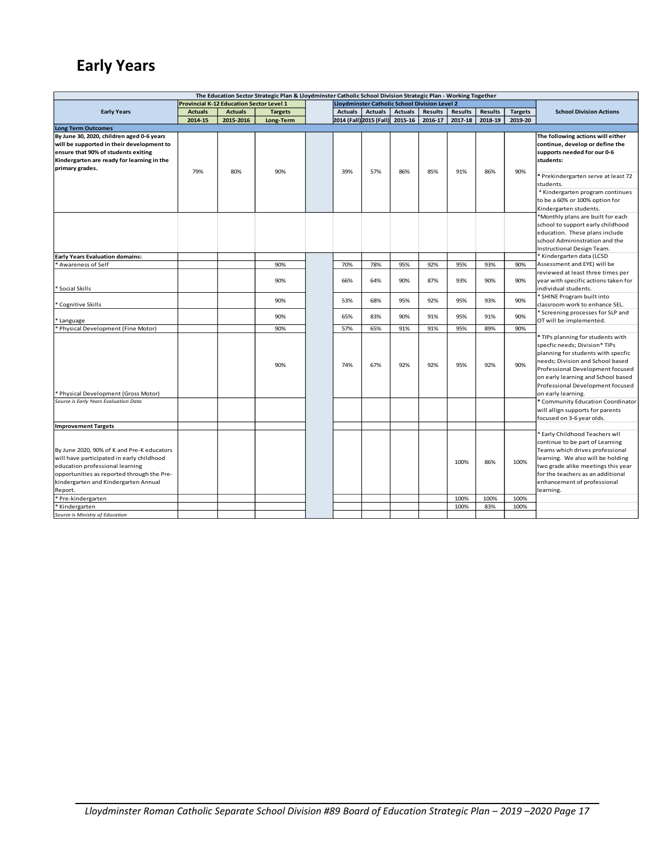# **Early Years**

| The Education Sector Strategic Plan & Lloydminster Catholic School Division Strategic Plan - Working Together |                                                 |                |                |  |                                               |                                 |                |                |                |                |                |                                                              |  |  |
|---------------------------------------------------------------------------------------------------------------|-------------------------------------------------|----------------|----------------|--|-----------------------------------------------|---------------------------------|----------------|----------------|----------------|----------------|----------------|--------------------------------------------------------------|--|--|
|                                                                                                               | <b>Provincial K-12 Education Sector Level 1</b> |                |                |  | Lloydminster Catholic School Division Level 2 |                                 |                |                |                |                |                |                                                              |  |  |
| <b>Early Years</b>                                                                                            | <b>Actuals</b>                                  | <b>Actuals</b> | <b>Targets</b> |  | <b>Actuals</b>                                | <b>Actuals</b>                  | <b>Actuals</b> | <b>Results</b> | <b>Results</b> | <b>Results</b> | <b>Targets</b> | <b>School Division Actions</b>                               |  |  |
|                                                                                                               | 2014-15                                         | 2015-2016      | Long-Term      |  |                                               | 2014 (Fall) 2015 (Fall) 2015-16 |                | 2016-17        | 2017-18        | 2018-19        | 2019-20        |                                                              |  |  |
| <b>Long Term Outcomes</b>                                                                                     |                                                 |                |                |  |                                               |                                 |                |                |                |                |                |                                                              |  |  |
| By June 30, 2020, children aged 0-6 years                                                                     |                                                 |                |                |  |                                               |                                 |                |                |                |                |                | The following actions will either                            |  |  |
| will be supported in their development to                                                                     |                                                 |                |                |  |                                               |                                 |                |                |                |                |                | continue, develop or define the                              |  |  |
| ensure that 90% of students exiting                                                                           |                                                 |                |                |  |                                               |                                 |                |                |                |                |                | supports needed for our 0-6                                  |  |  |
| Kindergarten are ready for learning in the                                                                    |                                                 |                |                |  |                                               |                                 |                |                |                |                |                | students:                                                    |  |  |
| primary grades.                                                                                               | 79%                                             | 80%            | 90%            |  | 39%                                           | 57%                             | 86%            | 85%            | 91%            | 86%            | 90%            |                                                              |  |  |
|                                                                                                               |                                                 |                |                |  |                                               |                                 |                |                |                |                |                | * Prekindergarten serve at least 72                          |  |  |
|                                                                                                               |                                                 |                |                |  |                                               |                                 |                |                |                |                |                | students.                                                    |  |  |
|                                                                                                               |                                                 |                |                |  |                                               |                                 |                |                |                |                |                | * Kindergarten program continues                             |  |  |
|                                                                                                               |                                                 |                |                |  |                                               |                                 |                |                |                |                |                | to be a 60% or 100% option for                               |  |  |
|                                                                                                               |                                                 |                |                |  |                                               |                                 |                |                |                |                |                | Kindergarten students.                                       |  |  |
|                                                                                                               |                                                 |                |                |  |                                               |                                 |                |                |                |                |                | *Monthly plans are built for each                            |  |  |
|                                                                                                               |                                                 |                |                |  |                                               |                                 |                |                |                |                |                | school to support early childhood                            |  |  |
|                                                                                                               |                                                 |                |                |  |                                               |                                 |                |                |                |                |                | education. These plans include                               |  |  |
|                                                                                                               |                                                 |                |                |  |                                               |                                 |                |                |                |                |                | school Admininstration and the                               |  |  |
|                                                                                                               |                                                 |                |                |  |                                               |                                 |                |                |                |                |                | Instructional Design Team.                                   |  |  |
| <b>Early Years Evaluation domains:</b>                                                                        |                                                 |                |                |  |                                               |                                 |                |                |                |                |                | * Kindergarten data (LCSD                                    |  |  |
| Awareness of Self                                                                                             |                                                 |                | 90%            |  | 70%                                           | 78%                             | 95%            | 92%            | 95%            | 93%            | 90%            | Assessment and EYE) will be                                  |  |  |
|                                                                                                               |                                                 |                |                |  |                                               |                                 |                |                |                |                |                | reviewed at least three times per                            |  |  |
|                                                                                                               |                                                 |                | 90%            |  | 66%                                           | 64%                             | 90%            | 87%            | 93%            | 90%            | 90%            | year with specific actions taken for                         |  |  |
| Social Skills                                                                                                 |                                                 |                |                |  |                                               |                                 |                |                |                |                |                | individual students.                                         |  |  |
|                                                                                                               |                                                 |                | 90%            |  | 53%                                           | 68%                             | 95%            | 92%            | 95%            | 93%            | 90%            | * SHINE Program built into                                   |  |  |
| Cognitive Skills                                                                                              |                                                 |                |                |  |                                               |                                 |                |                |                |                |                | classroom work to enhance SEL.                               |  |  |
|                                                                                                               |                                                 |                | 90%            |  | 65%                                           | 83%                             | 90%            | 91%            | 95%            | 91%            | 90%            | * Screening processes for SLP and<br>OT will be implemented. |  |  |
| ' Language<br>* Physical Development (Fine Motor)                                                             |                                                 |                | 90%            |  | 57%                                           | 65%                             | 91%            | 91%            | 95%            | 89%            | 90%            |                                                              |  |  |
|                                                                                                               |                                                 |                |                |  |                                               |                                 |                |                |                |                |                | * TIPs planning for students with                            |  |  |
|                                                                                                               |                                                 |                |                |  |                                               |                                 |                |                |                |                |                | specfic needs; Division* TIPs                                |  |  |
|                                                                                                               |                                                 |                |                |  |                                               |                                 |                |                |                |                |                | planning for students with specfic                           |  |  |
|                                                                                                               |                                                 |                |                |  |                                               |                                 |                |                |                |                |                | needs; Division and School based                             |  |  |
|                                                                                                               |                                                 |                | 90%            |  | 74%                                           | 67%                             | 92%            | 92%            | 95%            | 92%            | 90%            | Professional Development focused                             |  |  |
|                                                                                                               |                                                 |                |                |  |                                               |                                 |                |                |                |                |                | on early learning and School based                           |  |  |
|                                                                                                               |                                                 |                |                |  |                                               |                                 |                |                |                |                |                | Professional Development focused                             |  |  |
| Physical Development (Gross Motor)                                                                            |                                                 |                |                |  |                                               |                                 |                |                |                |                |                | on early learning.                                           |  |  |
| Source is Early Years Evaluation Data                                                                         |                                                 |                |                |  |                                               |                                 |                |                |                |                |                | * Community Education Coordinator                            |  |  |
|                                                                                                               |                                                 |                |                |  |                                               |                                 |                |                |                |                |                | will allign supports for parents                             |  |  |
|                                                                                                               |                                                 |                |                |  |                                               |                                 |                |                |                |                |                | focused on 3-6 year olds.                                    |  |  |
| <b>Improvement Targets</b>                                                                                    |                                                 |                |                |  |                                               |                                 |                |                |                |                |                |                                                              |  |  |
|                                                                                                               |                                                 |                |                |  |                                               |                                 |                |                |                |                |                | * Early Childhood Teachers wll                               |  |  |
|                                                                                                               |                                                 |                |                |  |                                               |                                 |                |                |                |                |                | continue to be part of Learning                              |  |  |
| By June 2020, 90% of K and Pre-K educators                                                                    |                                                 |                |                |  |                                               |                                 |                |                |                |                |                | Teams which drives professional                              |  |  |
| will have participated in early childhood                                                                     |                                                 |                |                |  |                                               |                                 |                |                | 100%           | 86%            | 100%           | learning. We also will be holding                            |  |  |
| education professional learning                                                                               |                                                 |                |                |  |                                               |                                 |                |                |                |                |                | two grade alike meetings this year                           |  |  |
| opportunities as reported through the Pre-                                                                    |                                                 |                |                |  |                                               |                                 |                |                |                |                |                | for the teachers as an additional                            |  |  |
| kindergarten and Kindergarten Annual                                                                          |                                                 |                |                |  |                                               |                                 |                |                |                |                |                | enhancement of professional                                  |  |  |
| Report.                                                                                                       |                                                 |                |                |  |                                               |                                 |                |                |                |                |                | learning.                                                    |  |  |
| * Pre-kindergarten                                                                                            |                                                 |                |                |  |                                               |                                 |                |                | 100%           | 100%           | 100%           |                                                              |  |  |
| * Kindergarten                                                                                                |                                                 |                |                |  |                                               |                                 |                |                | 100%           | 83%            | 100%           |                                                              |  |  |
| Source is Ministry of Education                                                                               |                                                 |                |                |  |                                               |                                 |                |                |                |                |                |                                                              |  |  |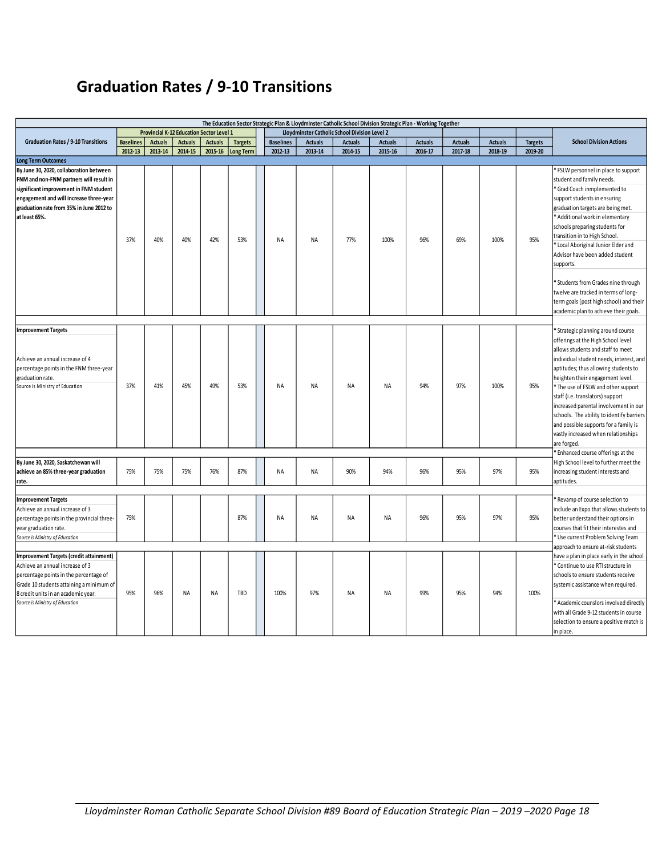# **Graduation Rates / 9-10 Transitions**

<span id="page-18-0"></span>

| The Education Sector Strategic Plan & Lloydminster Catholic School Division Strategic Plan - Working Together |                  |                |                                                 |                |                |                  |                |                                               |                |                |                |                |                |                                                                                   |
|---------------------------------------------------------------------------------------------------------------|------------------|----------------|-------------------------------------------------|----------------|----------------|------------------|----------------|-----------------------------------------------|----------------|----------------|----------------|----------------|----------------|-----------------------------------------------------------------------------------|
|                                                                                                               |                  |                | <b>Provincial K-12 Education Sector Level 1</b> |                |                |                  |                | Lloydminster Catholic School Division Level 2 |                |                |                |                |                |                                                                                   |
| <b>Graduation Rates / 9-10 Transitions</b>                                                                    | <b>Baselines</b> | <b>Actuals</b> | <b>Actuals</b>                                  | <b>Actuals</b> | <b>Targets</b> | <b>Baselines</b> | <b>Actuals</b> | <b>Actuals</b>                                | <b>Actuals</b> | <b>Actuals</b> | <b>Actuals</b> | <b>Actuals</b> | <b>Targets</b> | <b>School Division Actions</b>                                                    |
|                                                                                                               | 2012-13          | 2013-14        | 2014-15                                         | 2015-16        | Long Term      | 2012-13          | 2013-14        | 2014-15                                       | 2015-16        | 2016-17        | 2017-18        | 2018-19        | 2019-20        |                                                                                   |
| <b>Long Term Outcomes</b>                                                                                     |                  |                |                                                 |                |                |                  |                |                                               |                |                |                |                |                |                                                                                   |
| By June 30, 2020, collaboration between<br>FNM and non-FNM partners will result in                            |                  |                |                                                 |                |                |                  |                |                                               |                |                |                |                |                | * FSLW personnel in place to support<br>student and family needs.                 |
| significant improvement in FNM student                                                                        |                  |                |                                                 |                |                |                  |                |                                               |                |                |                |                |                | * Grad Coach inmplemented to                                                      |
| engagement and will increase three-year                                                                       |                  |                |                                                 |                |                |                  |                |                                               |                |                |                |                |                | support students in ensuring                                                      |
| graduation rate from 35% in June 2012 to                                                                      |                  |                |                                                 |                |                |                  |                |                                               |                |                |                |                |                | graduation targets are being met.                                                 |
| at least 65%.                                                                                                 |                  |                |                                                 |                |                |                  |                |                                               |                |                |                |                |                | Additional work in elementary                                                     |
|                                                                                                               |                  |                |                                                 |                |                |                  |                |                                               |                |                |                |                |                | schools preparing students for                                                    |
|                                                                                                               | 37%              | 40%            | 40%                                             | 42%            | 53%            | NA               | NA             | 77%                                           | 100%           | 96%            | 69%            | 100%           | 95%            | transition in to High School.<br>* Local Aboriginal Junior Elder and              |
|                                                                                                               |                  |                |                                                 |                |                |                  |                |                                               |                |                |                |                |                | Advisor have been added student                                                   |
|                                                                                                               |                  |                |                                                 |                |                |                  |                |                                               |                |                |                |                |                | supports.                                                                         |
|                                                                                                               |                  |                |                                                 |                |                |                  |                |                                               |                |                |                |                |                |                                                                                   |
|                                                                                                               |                  |                |                                                 |                |                |                  |                |                                               |                |                |                |                |                | * Students from Grades nine through                                               |
|                                                                                                               |                  |                |                                                 |                |                |                  |                |                                               |                |                |                |                |                | twelve are tracked in terms of long-                                              |
|                                                                                                               |                  |                |                                                 |                |                |                  |                |                                               |                |                |                |                |                | term goals (post high school) and their                                           |
|                                                                                                               |                  |                |                                                 |                |                |                  |                |                                               |                |                |                |                |                | academic plan to achieve their goals.                                             |
|                                                                                                               |                  |                |                                                 |                |                |                  |                |                                               |                |                |                |                |                |                                                                                   |
| <b>Improvement Targets</b>                                                                                    |                  |                |                                                 |                |                |                  |                |                                               |                |                |                |                |                | * Strategic planning around course                                                |
|                                                                                                               |                  |                |                                                 |                |                |                  |                |                                               |                |                |                |                |                | offerings at the High School level                                                |
|                                                                                                               |                  |                |                                                 |                |                |                  |                |                                               |                |                |                |                |                | allows students and staff to meet                                                 |
| Achieve an annual increase of 4                                                                               |                  |                |                                                 |                |                |                  |                |                                               |                |                |                |                |                | individual student needs, interest, and                                           |
| percentage points in the FNM three-year                                                                       |                  |                |                                                 |                |                |                  |                |                                               |                |                |                |                |                | aptitudes; thus allowing students to                                              |
| graduation rate.                                                                                              |                  |                |                                                 |                |                |                  |                |                                               |                |                |                |                |                | heighten their engagement level.                                                  |
| Source is Ministry of Education                                                                               | 37%              | 41%            | 45%                                             | 49%            | 53%            | <b>NA</b>        | NA             | <b>NA</b>                                     | <b>NA</b>      | 94%            | 97%            | 100%           | 95%            | * The use of FSLW and other support                                               |
|                                                                                                               |                  |                |                                                 |                |                |                  |                |                                               |                |                |                |                |                | staff (i.e. translators) support                                                  |
|                                                                                                               |                  |                |                                                 |                |                |                  |                |                                               |                |                |                |                |                | increased parental involvement in our                                             |
|                                                                                                               |                  |                |                                                 |                |                |                  |                |                                               |                |                |                |                |                | schools. The ability to identify barriers                                         |
|                                                                                                               |                  |                |                                                 |                |                |                  |                |                                               |                |                |                |                |                | and possible supports for a family is                                             |
|                                                                                                               |                  |                |                                                 |                |                |                  |                |                                               |                |                |                |                |                | vastly increased when relationships                                               |
|                                                                                                               |                  |                |                                                 |                |                |                  |                |                                               |                |                |                |                |                | are forged.<br>* Enhanced course offerings at the                                 |
| By June 30, 2020, Saskatchewan will                                                                           |                  |                |                                                 |                |                |                  |                |                                               |                |                |                |                |                | High School level to further meet the                                             |
| achieve an 85% three-year graduation                                                                          | 75%              | 75%            | 75%                                             | 76%            | 87%            | NA               | NA             | 90%                                           | 94%            | 96%            | 95%            | 97%            | 95%            | increasing student interests and                                                  |
| rate.                                                                                                         |                  |                |                                                 |                |                |                  |                |                                               |                |                |                |                |                | aptitudes.                                                                        |
|                                                                                                               |                  |                |                                                 |                |                |                  |                |                                               |                |                |                |                |                |                                                                                   |
| <b>Improvement Targets</b>                                                                                    |                  |                |                                                 |                |                |                  |                |                                               |                |                |                |                |                | Revamp of course selection to                                                     |
| Achieve an annual increase of 3                                                                               |                  |                |                                                 |                |                |                  |                |                                               |                |                |                |                |                | include an Expo that allows students to                                           |
| percentage points in the provincial three-                                                                    | 75%              |                |                                                 |                | 87%            | NA               | NA             | NA                                            | NA             | 96%            | 95%            | 97%            | 95%            | better understand their options in                                                |
| year graduation rate.                                                                                         |                  |                |                                                 |                |                |                  |                |                                               |                |                |                |                |                | courses that fit their interestes and                                             |
| Source is Ministry of Education                                                                               |                  |                |                                                 |                |                |                  |                |                                               |                |                |                |                |                | * Use current Problem Solving Team                                                |
|                                                                                                               |                  |                |                                                 |                |                |                  |                |                                               |                |                |                |                |                | approach to ensure at-risk students                                               |
| Improvement Targets (credit attainment)                                                                       |                  |                |                                                 |                |                |                  |                |                                               |                |                |                |                |                | have a plan in place early in the school                                          |
| Achieve an annual increase of 3                                                                               |                  |                |                                                 |                |                |                  |                |                                               |                |                |                |                |                | * Continue to use RTI structure in                                                |
| percentage points in the percentage of                                                                        |                  |                |                                                 |                |                |                  |                |                                               |                |                |                |                |                | schools to ensure students receive                                                |
| Grade 10 students attaining a minimum of                                                                      | 95%              | 96%            |                                                 |                | TBD            |                  | 97%            |                                               |                | 99%            | 95%            | 94%            |                | systemic assistance when required.                                                |
| 8 credit units in an academic year.<br>Source is Ministry of Education                                        |                  |                | NA                                              | <b>NA</b>      |                | 100%             |                | <b>NA</b>                                     | <b>NA</b>      |                |                |                | 100%           |                                                                                   |
|                                                                                                               |                  |                |                                                 |                |                |                  |                |                                               |                |                |                |                |                | * Academic counslors involved directly                                            |
|                                                                                                               |                  |                |                                                 |                |                |                  |                |                                               |                |                |                |                |                | with all Grade 9-12 students in course<br>selection to ensure a positive match is |
|                                                                                                               |                  |                |                                                 |                |                |                  |                |                                               |                |                |                |                |                | in place.                                                                         |
|                                                                                                               |                  |                |                                                 |                |                |                  |                |                                               |                |                |                |                |                |                                                                                   |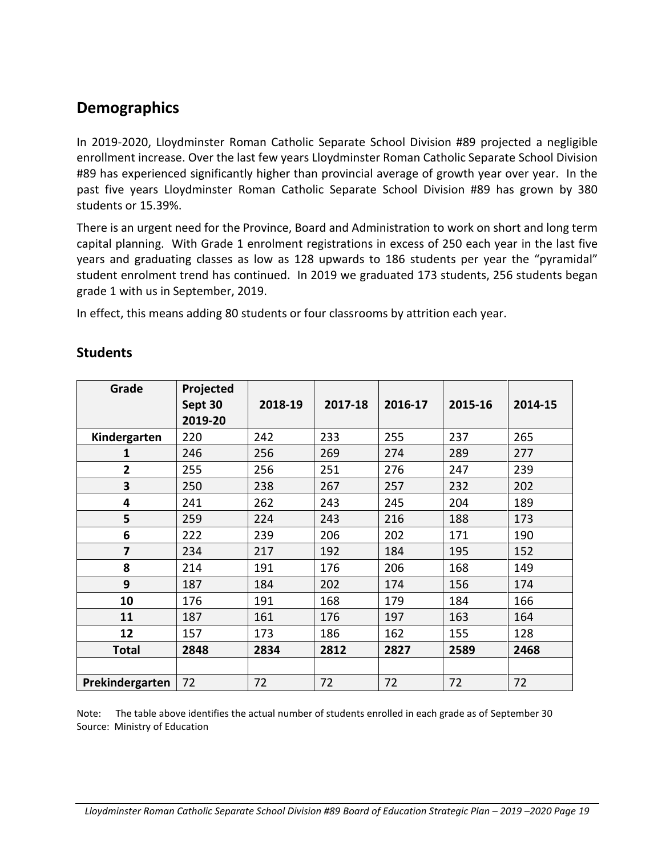# **Demographics**

In 2019-2020, Lloydminster Roman Catholic Separate School Division #89 projected a negligible enrollment increase. Over the last few years Lloydminster Roman Catholic Separate School Division #89 has experienced significantly higher than provincial average of growth year over year. In the past five years Lloydminster Roman Catholic Separate School Division #89 has grown by 380 students or 15.39%.

There is an urgent need for the Province, Board and Administration to work on short and long term capital planning. With Grade 1 enrolment registrations in excess of 250 each year in the last five years and graduating classes as low as 128 upwards to 186 students per year the "pyramidal" student enrolment trend has continued. In 2019 we graduated 173 students, 256 students began grade 1 with us in September, 2019.

In effect, this means adding 80 students or four classrooms by attrition each year.

| Grade           | Projected<br>Sept 30<br>2019-20 | 2018-19 | 2017-18 | 2016-17 | 2015-16 | 2014-15 |
|-----------------|---------------------------------|---------|---------|---------|---------|---------|
| Kindergarten    | 220                             | 242     | 233     | 255     | 237     | 265     |
| 1               | 246                             | 256     | 269     | 274     | 289     | 277     |
| $\overline{2}$  | 255                             | 256     | 251     | 276     | 247     | 239     |
| 3               | 250                             | 238     | 267     | 257     | 232     | 202     |
| 4               | 241                             | 262     | 243     | 245     | 204     | 189     |
| 5               | 259                             | 224     | 243     | 216     | 188     | 173     |
| 6               | 222                             | 239     | 206     | 202     | 171     | 190     |
| 7               | 234                             | 217     | 192     | 184     | 195     | 152     |
| 8               | 214                             | 191     | 176     | 206     | 168     | 149     |
| 9               | 187                             | 184     | 202     | 174     | 156     | 174     |
| 10              | 176                             | 191     | 168     | 179     | 184     | 166     |
| 11              | 187                             | 161     | 176     | 197     | 163     | 164     |
| 12              | 157                             | 173     | 186     | 162     | 155     | 128     |
| <b>Total</b>    | 2848                            | 2834    | 2812    | 2827    | 2589    | 2468    |
|                 |                                 |         |         |         |         |         |
| Prekindergarten | 72                              | 72      | 72      | 72      | 72      | 72      |

### **Students**

Note: The table above identifies the actual number of students enrolled in each grade as of September 30 Source: Ministry of Education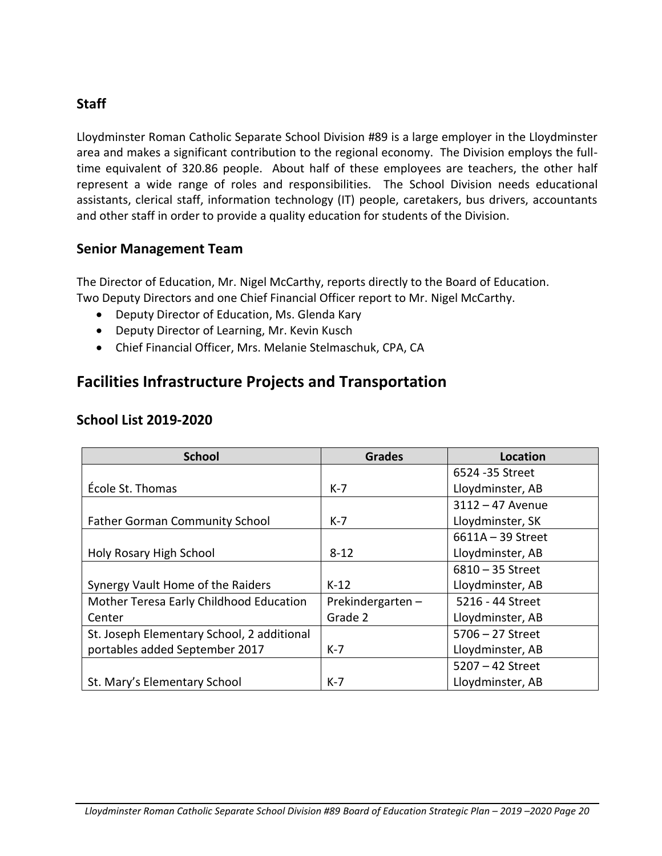### **Staff**

Lloydminster Roman Catholic Separate School Division #89 is a large employer in the Lloydminster area and makes a significant contribution to the regional economy. The Division employs the fulltime equivalent of 320.86 people. About half of these employees are teachers, the other half represent a wide range of roles and responsibilities. The School Division needs educational assistants, clerical staff, information technology (IT) people, caretakers, bus drivers, accountants and other staff in order to provide a quality education for students of the Division.

### **Senior Management Team**

The Director of Education, Mr. Nigel McCarthy, reports directly to the Board of Education. Two Deputy Directors and one Chief Financial Officer report to Mr. Nigel McCarthy.

- Deputy Director of Education, Ms. Glenda Kary
- Deputy Director of Learning, Mr. Kevin Kusch
- Chief Financial Officer, Mrs. Melanie Stelmaschuk, CPA, CA

## <span id="page-20-0"></span>**Facilities Infrastructure Projects and Transportation**

| <b>School</b>                              | <b>Grades</b>    | <b>Location</b>     |
|--------------------------------------------|------------------|---------------------|
|                                            |                  | 6524 - 35 Street    |
| École St. Thomas                           | $K-7$            | Lloydminster, AB    |
|                                            |                  | $3112 - 47$ Avenue  |
| <b>Father Gorman Community School</b>      | K-7              | Lloydminster, SK    |
|                                            |                  | $6611A - 39$ Street |
| Holy Rosary High School                    | $8 - 12$         | Lloydminster, AB    |
|                                            |                  | $6810 - 35$ Street  |
| Synergy Vault Home of the Raiders          | $K-12$           | Lloydminster, AB    |
| Mother Teresa Early Childhood Education    | Prekindergarten- | 5216 - 44 Street    |
| Center                                     | Grade 2          | Lloydminster, AB    |
| St. Joseph Elementary School, 2 additional |                  | $5706 - 27$ Street  |
| portables added September 2017             | $K-7$            | Lloydminster, AB    |
|                                            |                  | $5207 - 42$ Street  |
| St. Mary's Elementary School               | $K-7$            | Lloydminster, AB    |

#### **School List 2019-2020**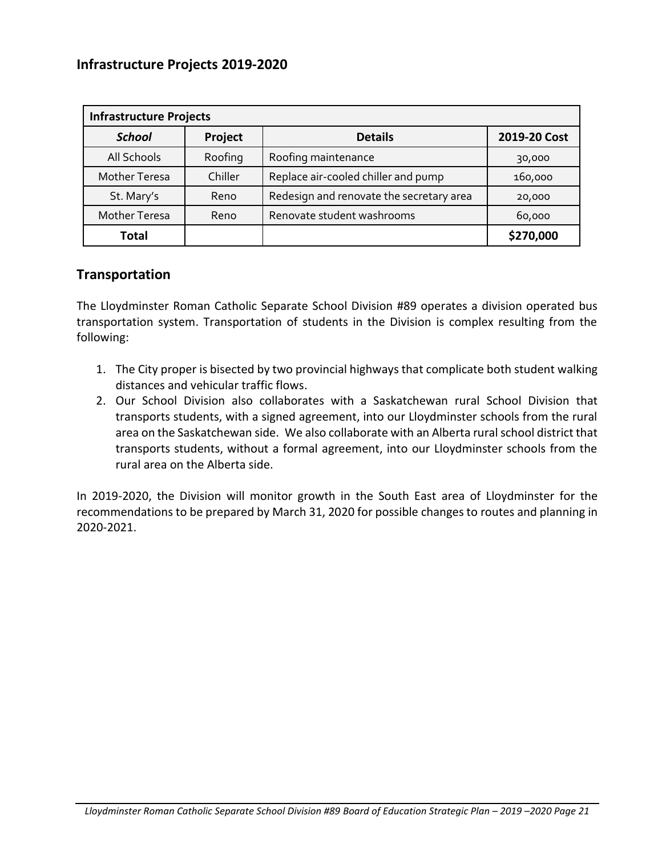### **Infrastructure Projects 2019-2020**

| <b>Infrastructure Projects</b> |         |                                          |              |  |  |  |  |  |  |  |  |
|--------------------------------|---------|------------------------------------------|--------------|--|--|--|--|--|--|--|--|
| <b>School</b>                  | Project | <b>Details</b>                           | 2019-20 Cost |  |  |  |  |  |  |  |  |
| All Schools                    | Roofing | Roofing maintenance                      | 30,000       |  |  |  |  |  |  |  |  |
| <b>Mother Teresa</b>           | Chiller | Replace air-cooled chiller and pump      | 160,000      |  |  |  |  |  |  |  |  |
| St. Mary's                     | Reno    | Redesign and renovate the secretary area | 20,000       |  |  |  |  |  |  |  |  |
| <b>Mother Teresa</b>           | Reno    | Renovate student washrooms               | 60,000       |  |  |  |  |  |  |  |  |
| <b>Total</b>                   |         |                                          | \$270,000    |  |  |  |  |  |  |  |  |

#### **Transportation**

The Lloydminster Roman Catholic Separate School Division #89 operates a division operated bus transportation system. Transportation of students in the Division is complex resulting from the following:

- 1. The City proper is bisected by two provincial highways that complicate both student walking distances and vehicular traffic flows.
- 2. Our School Division also collaborates with a Saskatchewan rural School Division that transports students, with a signed agreement, into our Lloydminster schools from the rural area on the Saskatchewan side. We also collaborate with an Alberta rural school district that transports students, without a formal agreement, into our Lloydminster schools from the rural area on the Alberta side.

In 2019-2020, the Division will monitor growth in the South East area of Lloydminster for the recommendations to be prepared by March 31, 2020 for possible changes to routes and planning in 2020-2021.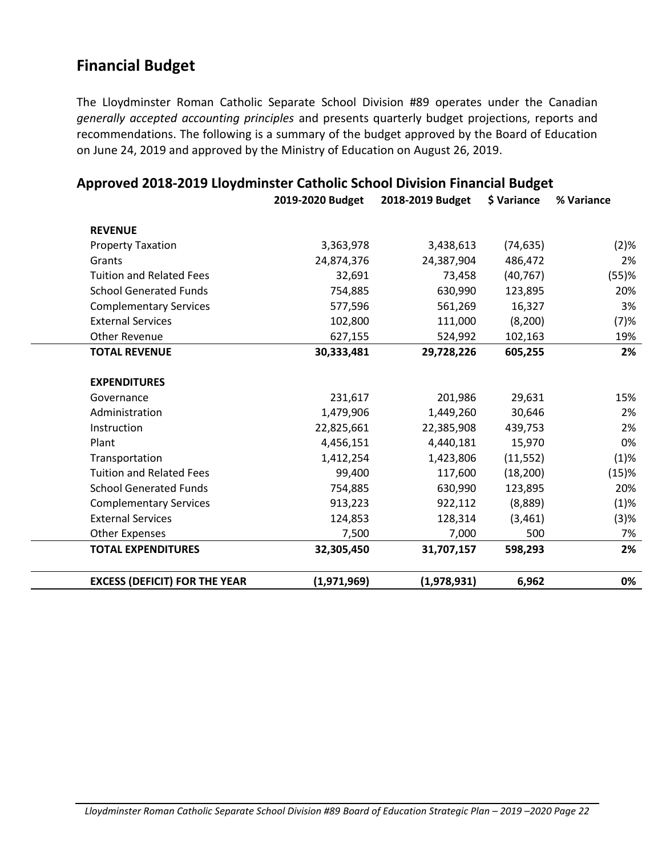## <span id="page-22-0"></span>**Financial Budget**

The Lloydminster Roman Catholic Separate School Division #89 operates under the Canadian *generally accepted accounting principles* and presents quarterly budget projections, reports and recommendations. The following is a summary of the budget approved by the Board of Education on June 24, 2019 and approved by the Ministry of Education on August 26, 2019.

|                                      | 2019-2020 Budget | 2018-2019 Budget | \$ Variance | % Variance |
|--------------------------------------|------------------|------------------|-------------|------------|
| <b>REVENUE</b>                       |                  |                  |             |            |
| <b>Property Taxation</b>             | 3,363,978        | 3,438,613        | (74, 635)   | (2)%       |
| Grants                               | 24,874,376       | 24,387,904       | 486,472     | 2%         |
| <b>Tuition and Related Fees</b>      | 32,691           | 73,458           | (40, 767)   | (55)%      |
| <b>School Generated Funds</b>        | 754,885          | 630,990          | 123,895     | 20%        |
| <b>Complementary Services</b>        | 577,596          | 561,269          | 16,327      | 3%         |
| <b>External Services</b>             | 102,800          | 111,000          | (8, 200)    | (7)%       |
| <b>Other Revenue</b>                 | 627,155          | 524,992          | 102,163     | 19%        |
| <b>TOTAL REVENUE</b>                 | 30,333,481       | 29,728,226       | 605,255     | 2%         |
| <b>EXPENDITURES</b>                  |                  |                  |             |            |
| Governance                           | 231,617          | 201,986          | 29,631      | 15%        |
| Administration                       | 1,479,906        | 1,449,260        | 30,646      | 2%         |
| Instruction                          | 22,825,661       | 22,385,908       | 439,753     | 2%         |
| Plant                                | 4,456,151        | 4,440,181        | 15,970      | 0%         |
| Transportation                       | 1,412,254        | 1,423,806        | (11, 552)   | (1)%       |
| <b>Tuition and Related Fees</b>      | 99,400           | 117,600          | (18, 200)   | (15)%      |
| <b>School Generated Funds</b>        | 754,885          | 630,990          | 123,895     | 20%        |
| <b>Complementary Services</b>        | 913,223          | 922,112          | (8,889)     | (1)%       |
| <b>External Services</b>             | 124,853          | 128,314          | (3,461)     | (3)%       |
| <b>Other Expenses</b>                | 7,500            | 7,000            | 500         | 7%         |
| <b>TOTAL EXPENDITURES</b>            | 32,305,450       | 31,707,157       | 598,293     | 2%         |
| <b>EXCESS (DEFICIT) FOR THE YEAR</b> | (1,971,969)      | (1,978,931)      | 6,962       | 0%         |

# <span id="page-22-1"></span>**Approved 2018-2019 Lloydminster Catholic School Division Financial Budget**